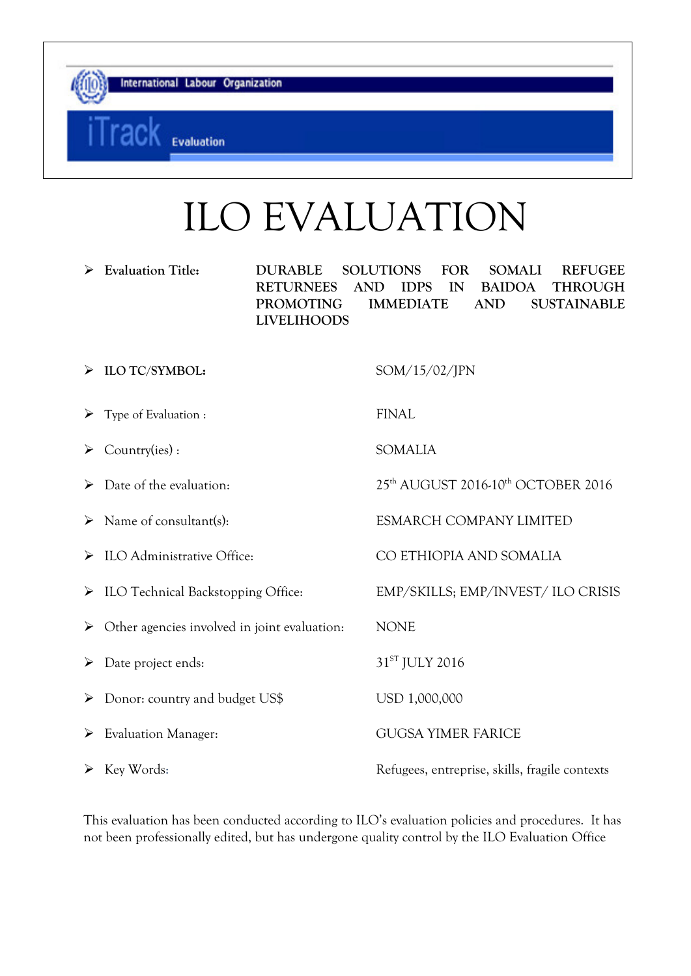Evaluation

# ILO EVALUATION

 **Evaluation Title: DURABLE SOLUTIONS FOR SOMALI REFUGEE RETURNEES AND IDPS IN BAIDOA THROUGH PROMOTING IMMEDIATE AND SUSTAINABLE LIVELIHOODS** 

 **ILO TC/SYMBOL:** SOM/15/02/JPN  $\triangleright$  Type of Evaluation : FINAL Country(ies) : SOMALIA ▶ Date of the evaluation: 25<sup>th</sup> AUGUST 2016-10<sup>th</sup> OCTOBER 2016 > Name of consultant(s): ESMARCH COMPANY LIMITED ILO Administrative Office: CO ETHIOPIA AND SOMALIA > ILO Technical Backstopping Office: EMP/SKILLS; EMP/INVEST/ ILO CRISIS Other agencies involved in joint evaluation: NONE  $\triangleright$  Date project ends:  $31^{ST}$  JULY 2016 Donor: country and budget US\$ USD 1,000,000 Evaluation Manager: GUGSA YIMER FARICE Key Words: Refugees, entreprise, skills, fragile contexts

This evaluation has been conducted according to ILO's evaluation policies and procedures. It has not been professionally edited, but has undergone quality control by the ILO Evaluation Office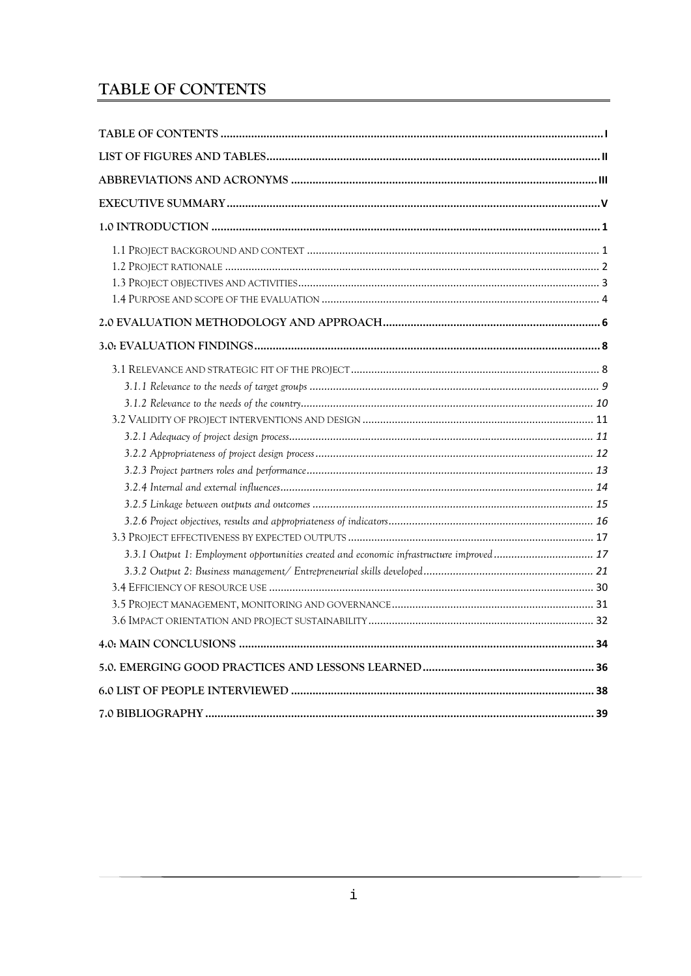# <span id="page-1-0"></span>TABLE OF CONTENTS

| 3.3.1 Output 1: Employment opportunities created and economic infrastructure improved 17 |  |
|------------------------------------------------------------------------------------------|--|
|                                                                                          |  |
|                                                                                          |  |
|                                                                                          |  |
|                                                                                          |  |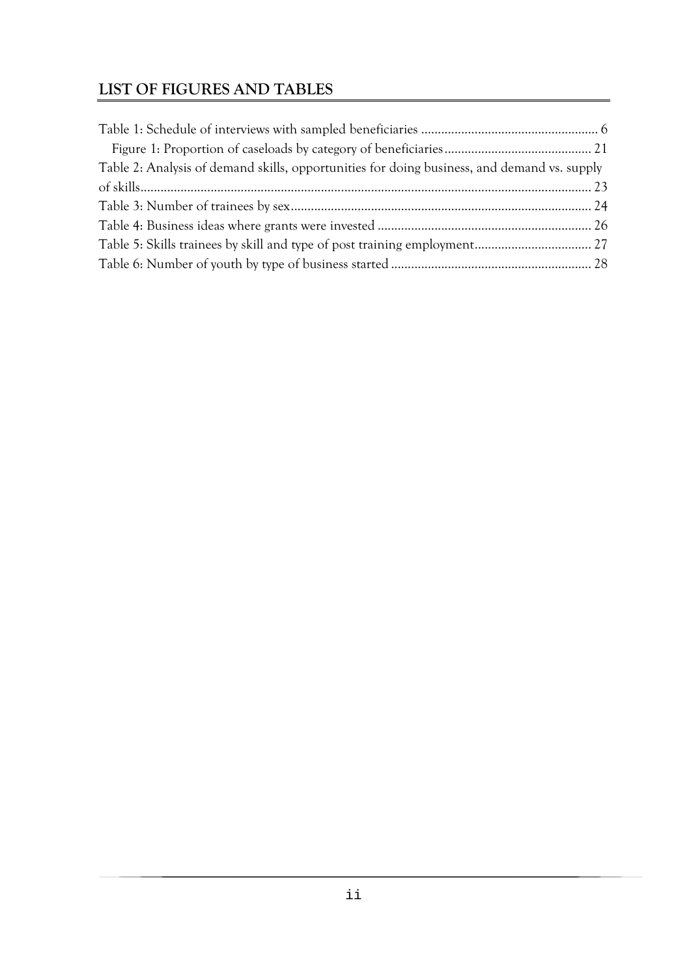# <span id="page-2-0"></span>**LIST OF FIGURES AND TABLES**

| Table 2: Analysis of demand skills, opportunities for doing business, and demand vs. supply |  |
|---------------------------------------------------------------------------------------------|--|
|                                                                                             |  |
|                                                                                             |  |
|                                                                                             |  |
|                                                                                             |  |
|                                                                                             |  |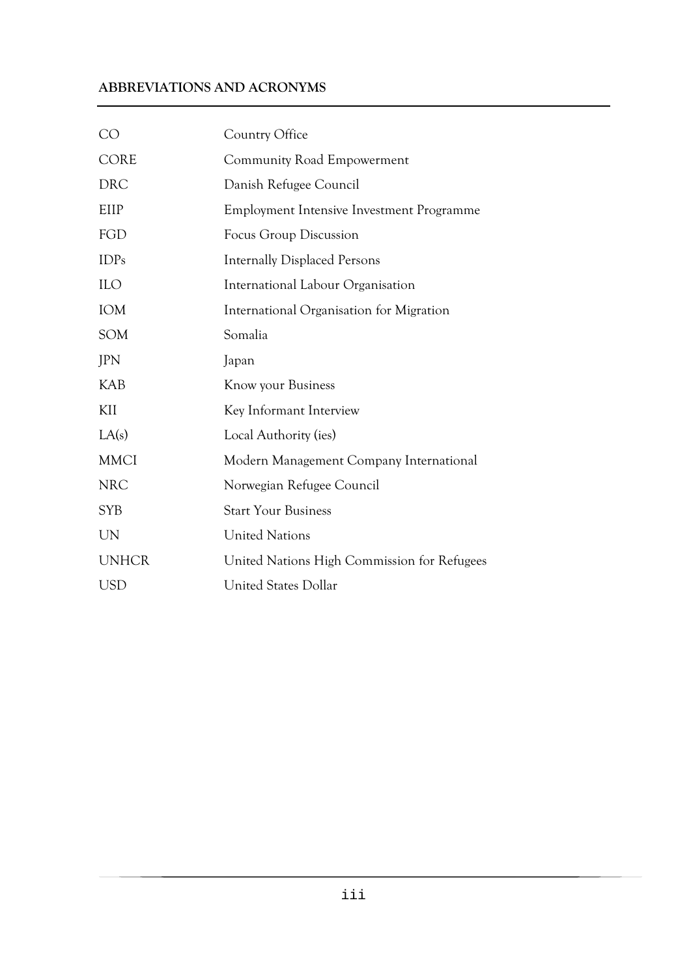# <span id="page-3-0"></span>**ABBREVIATIONS AND ACRONYMS**

| <b>CO</b>    | Country Office                              |
|--------------|---------------------------------------------|
| <b>CORE</b>  | Community Road Empowerment                  |
| <b>DRC</b>   | Danish Refugee Council                      |
| EIIP         | Employment Intensive Investment Programme   |
| FGD          | <b>Focus Group Discussion</b>               |
| <b>IDPs</b>  | <b>Internally Displaced Persons</b>         |
| <b>ILO</b>   | International Labour Organisation           |
| IOM          | International Organisation for Migration    |
| SOM          | Somalia                                     |
| JPN          | Japan                                       |
| <b>KAB</b>   | Know your Business                          |
| KII          | Key Informant Interview                     |
| LA(s)        | Local Authority (ies)                       |
| <b>MMCI</b>  | Modern Management Company International     |
| <b>NRC</b>   | Norwegian Refugee Council                   |
| <b>SYB</b>   | <b>Start Your Business</b>                  |
| <b>UN</b>    | <b>United Nations</b>                       |
| <b>UNHCR</b> | United Nations High Commission for Refugees |
| <b>USD</b>   | <b>United States Dollar</b>                 |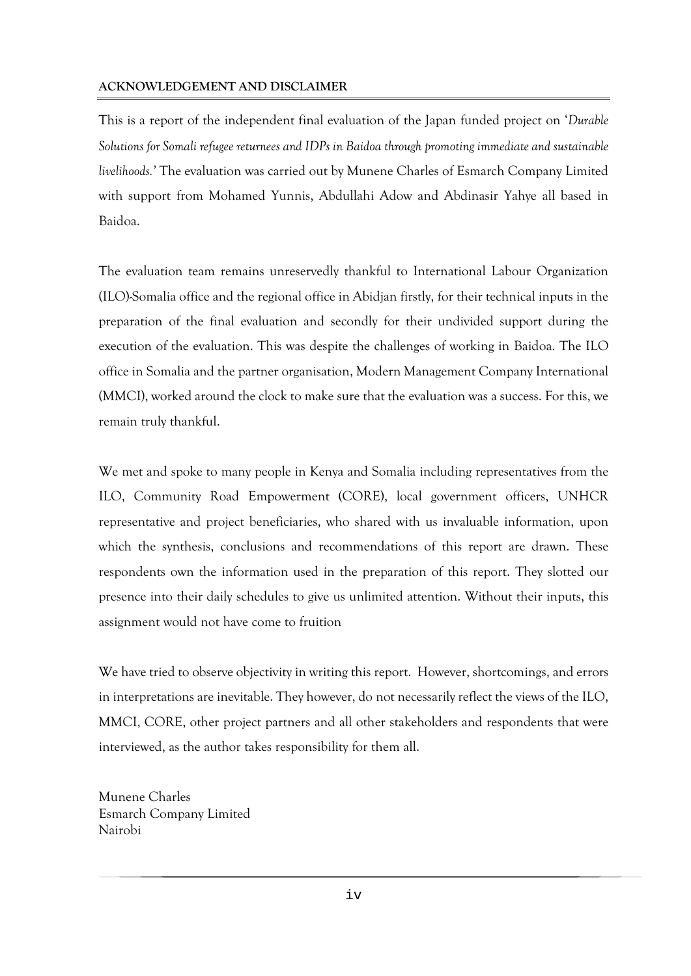#### **ACKNOWLEDGEMENT AND DISCLAIMER**

This is a report of the independent final evaluation of the Japan funded project on '*Durable Solutions for Somali refugee returnees and IDPs in Baidoa through promoting immediate and sustainable livelihoods.'* The evaluation was carried out by Munene Charles of Esmarch Company Limited with support from Mohamed Yunnis, Abdullahi Adow and Abdinasir Yahye all based in Baidoa.

The evaluation team remains unreservedly thankful to International Labour Organization (ILO)-Somalia office and the regional office in Abidjan firstly, for their technical inputs in the preparation of the final evaluation and secondly for their undivided support during the execution of the evaluation. This was despite the challenges of working in Baidoa. The ILO office in Somalia and the partner organisation, Modern Management Company International (MMCI), worked around the clock to make sure that the evaluation was a success. For this, we remain truly thankful.

We met and spoke to many people in Kenya and Somalia including representatives from the ILO, Community Road Empowerment (CORE), local government officers, UNHCR representative and project beneficiaries, who shared with us invaluable information, upon which the synthesis, conclusions and recommendations of this report are drawn. These respondents own the information used in the preparation of this report. They slotted our presence into their daily schedules to give us unlimited attention. Without their inputs, this assignment would not have come to fruition

We have tried to observe objectivity in writing this report. However, shortcomings, and errors in interpretations are inevitable. They however, do not necessarily reflect the views of the ILO, MMCI, CORE, other project partners and all other stakeholders and respondents that were interviewed, as the author takes responsibility for them all.

Munene Charles Esmarch Company Limited Nairobi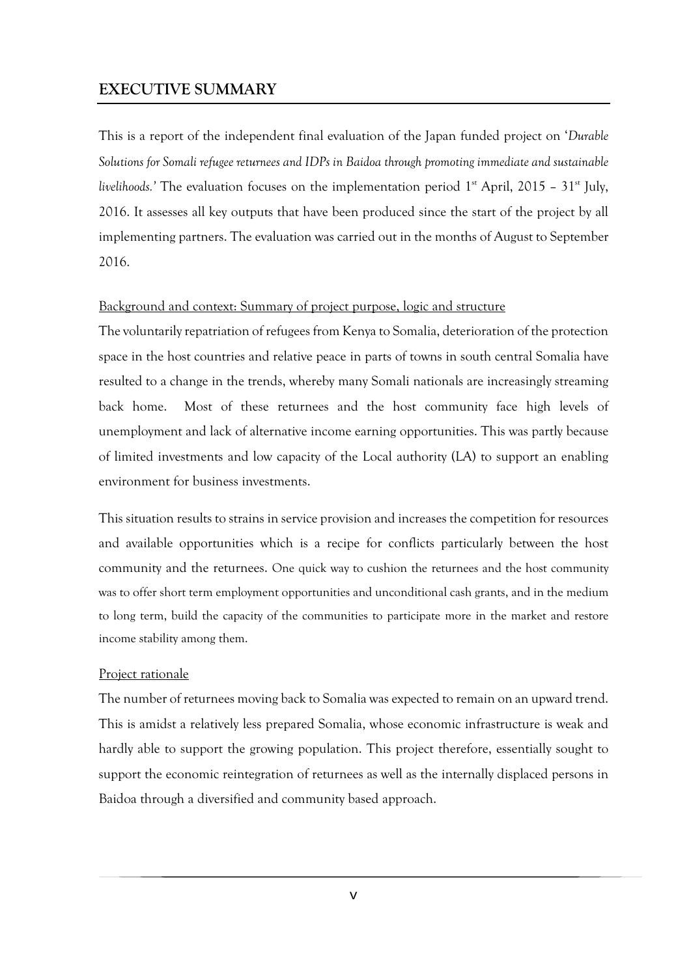# <span id="page-5-0"></span>**EXECUTIVE SUMMARY**

This is a report of the independent final evaluation of the Japan funded project on '*Durable Solutions for Somali refugee returnees and IDPs in Baidoa through promoting immediate and sustainable livelihoods.'* The evaluation focuses on the implementation period  $1<sup>st</sup>$  April, 2015 –  $31<sup>st</sup>$  July, 2016. It assesses all key outputs that have been produced since the start of the project by all implementing partners. The evaluation was carried out in the months of August to September 2016.

#### Background and context: Summary of project purpose, logic and structure

The voluntarily repatriation of refugees from Kenya to Somalia, deterioration of the protection space in the host countries and relative peace in parts of towns in south central Somalia have resulted to a change in the trends, whereby many Somali nationals are increasingly streaming back home. Most of these returnees and the host community face high levels of unemployment and lack of alternative income earning opportunities. This was partly because of limited investments and low capacity of the Local authority (LA) to support an enabling environment for business investments.

This situation results to strains in service provision and increases the competition for resources and available opportunities which is a recipe for conflicts particularly between the host community and the returnees. One quick way to cushion the returnees and the host community was to offer short term employment opportunities and unconditional cash grants, and in the medium to long term, build the capacity of the communities to participate more in the market and restore income stability among them.

#### Project rationale

The number of returnees moving back to Somalia was expected to remain on an upward trend. This is amidst a relatively less prepared Somalia, whose economic infrastructure is weak and hardly able to support the growing population. This project therefore, essentially sought to support the economic reintegration of returnees as well as the internally displaced persons in Baidoa through a diversified and community based approach.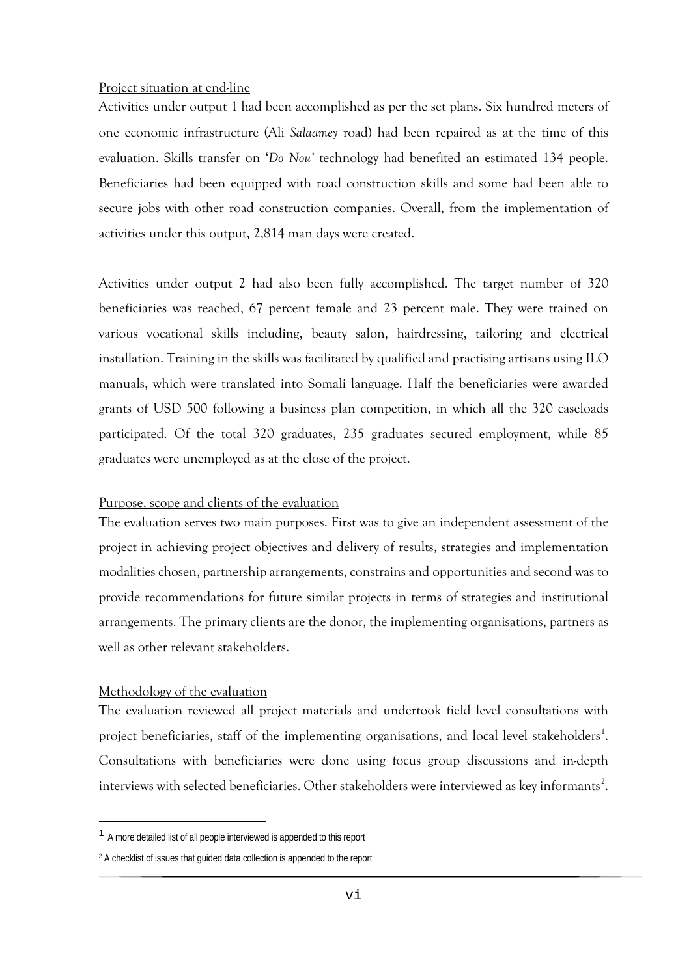#### Project situation at end-line

Activities under output 1 had been accomplished as per the set plans. Six hundred meters of one economic infrastructure (Ali *Salaamey* road) had been repaired as at the time of this evaluation. Skills transfer on '*Do Nou'* technology had benefited an estimated 134 people. Beneficiaries had been equipped with road construction skills and some had been able to secure jobs with other road construction companies. Overall, from the implementation of activities under this output, 2,814 man days were created.

Activities under output 2 had also been fully accomplished. The target number of 320 beneficiaries was reached, 67 percent female and 23 percent male. They were trained on various vocational skills including, beauty salon, hairdressing, tailoring and electrical installation. Training in the skills was facilitated by qualified and practising artisans using ILO manuals, which were translated into Somali language. Half the beneficiaries were awarded grants of USD 500 following a business plan competition, in which all the 320 caseloads participated. Of the total 320 graduates, 235 graduates secured employment, while 85 graduates were unemployed as at the close of the project.

#### Purpose, scope and clients of the evaluation

The evaluation serves two main purposes. First was to give an independent assessment of the project in achieving project objectives and delivery of results, strategies and implementation modalities chosen, partnership arrangements, constrains and opportunities and second was to provide recommendations for future similar projects in terms of strategies and institutional arrangements. The primary clients are the donor, the implementing organisations, partners as well as other relevant stakeholders.

#### Methodology of the evaluation

 $\overline{a}$ 

The evaluation reviewed all project materials and undertook field level consultations with project beneficiaries, staff of the implementing organisations, and local level stakeholders<sup>[1](#page-6-0)</sup>. Consultations with beneficiaries were done using focus group discussions and in-depth interviews with selected beneficiaries. Other stakeholders were interviewed as key informants<sup>[2](#page-6-1)</sup>.

<span id="page-6-0"></span><sup>1</sup> A more detailed list of all people interviewed is appended to this report

<span id="page-6-1"></span><sup>2</sup> A checklist of issues that guided data collection is appended to the report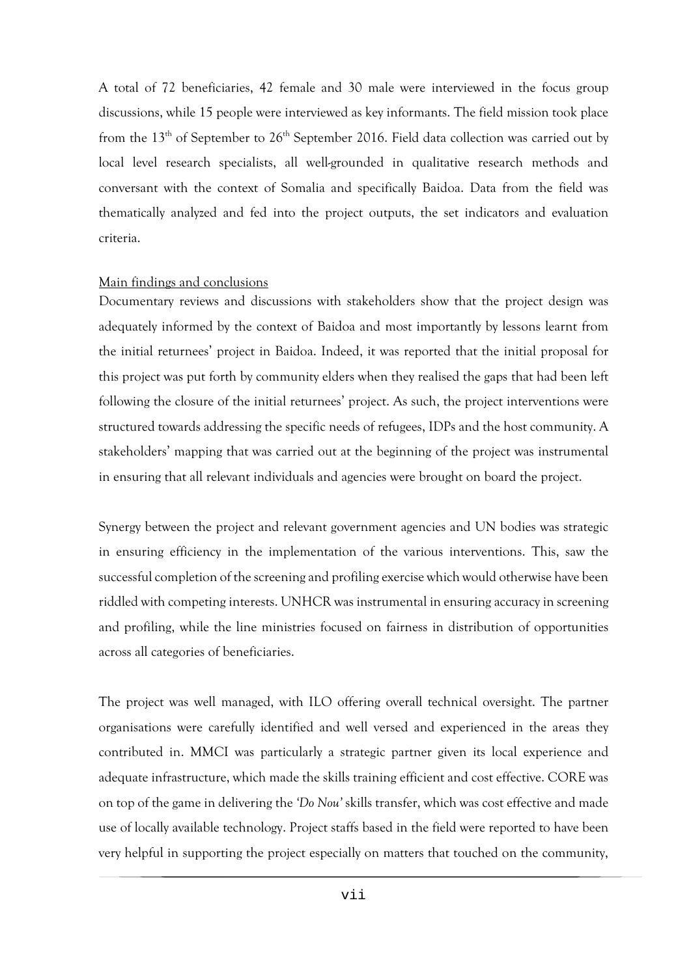A total of 72 beneficiaries, 42 female and 30 male were interviewed in the focus group discussions, while 15 people were interviewed as key informants. The field mission took place from the 13<sup>th</sup> of September to 26<sup>th</sup> September 2016. Field data collection was carried out by local level research specialists, all well-grounded in qualitative research methods and conversant with the context of Somalia and specifically Baidoa. Data from the field was thematically analyzed and fed into the project outputs, the set indicators and evaluation criteria.

#### Main findings and conclusions

Documentary reviews and discussions with stakeholders show that the project design was adequately informed by the context of Baidoa and most importantly by lessons learnt from the initial returnees' project in Baidoa. Indeed, it was reported that the initial proposal for this project was put forth by community elders when they realised the gaps that had been left following the closure of the initial returnees' project. As such, the project interventions were structured towards addressing the specific needs of refugees, IDPs and the host community. A stakeholders' mapping that was carried out at the beginning of the project was instrumental in ensuring that all relevant individuals and agencies were brought on board the project.

Synergy between the project and relevant government agencies and UN bodies was strategic in ensuring efficiency in the implementation of the various interventions. This, saw the successful completion of the screening and profiling exercise which would otherwise have been riddled with competing interests. UNHCR was instrumental in ensuring accuracy in screening and profiling, while the line ministries focused on fairness in distribution of opportunities across all categories of beneficiaries.

The project was well managed, with ILO offering overall technical oversight. The partner organisations were carefully identified and well versed and experienced in the areas they contributed in. MMCI was particularly a strategic partner given its local experience and adequate infrastructure, which made the skills training efficient and cost effective. CORE was on top of the game in delivering the *'Do Nou'* skills transfer, which was cost effective and made use of locally available technology. Project staffs based in the field were reported to have been very helpful in supporting the project especially on matters that touched on the community,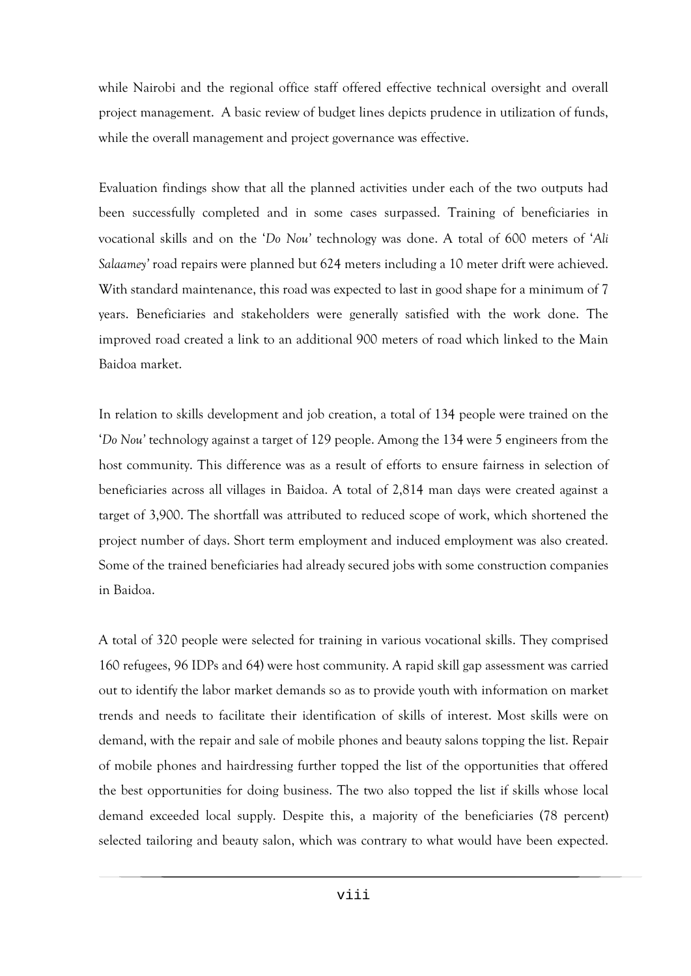while Nairobi and the regional office staff offered effective technical oversight and overall project management. A basic review of budget lines depicts prudence in utilization of funds, while the overall management and project governance was effective.

Evaluation findings show that all the planned activities under each of the two outputs had been successfully completed and in some cases surpassed. Training of beneficiaries in vocational skills and on the '*Do Nou'* technology was done. A total of 600 meters of '*Ali Salaamey'* road repairs were planned but 624 meters including a 10 meter drift were achieved. With standard maintenance, this road was expected to last in good shape for a minimum of 7 years. Beneficiaries and stakeholders were generally satisfied with the work done. The improved road created a link to an additional 900 meters of road which linked to the Main Baidoa market.

In relation to skills development and job creation, a total of 134 people were trained on the '*Do Nou'* technology against a target of 129 people. Among the 134 were 5 engineers from the host community. This difference was as a result of efforts to ensure fairness in selection of beneficiaries across all villages in Baidoa. A total of 2,814 man days were created against a target of 3,900. The shortfall was attributed to reduced scope of work, which shortened the project number of days. Short term employment and induced employment was also created. Some of the trained beneficiaries had already secured jobs with some construction companies in Baidoa.

A total of 320 people were selected for training in various vocational skills. They comprised 160 refugees, 96 IDPs and 64) were host community. A rapid skill gap assessment was carried out to identify the labor market demands so as to provide youth with information on market trends and needs to facilitate their identification of skills of interest. Most skills were on demand, with the repair and sale of mobile phones and beauty salons topping the list. Repair of mobile phones and hairdressing further topped the list of the opportunities that offered the best opportunities for doing business. The two also topped the list if skills whose local demand exceeded local supply. Despite this, a majority of the beneficiaries (78 percent) selected tailoring and beauty salon, which was contrary to what would have been expected.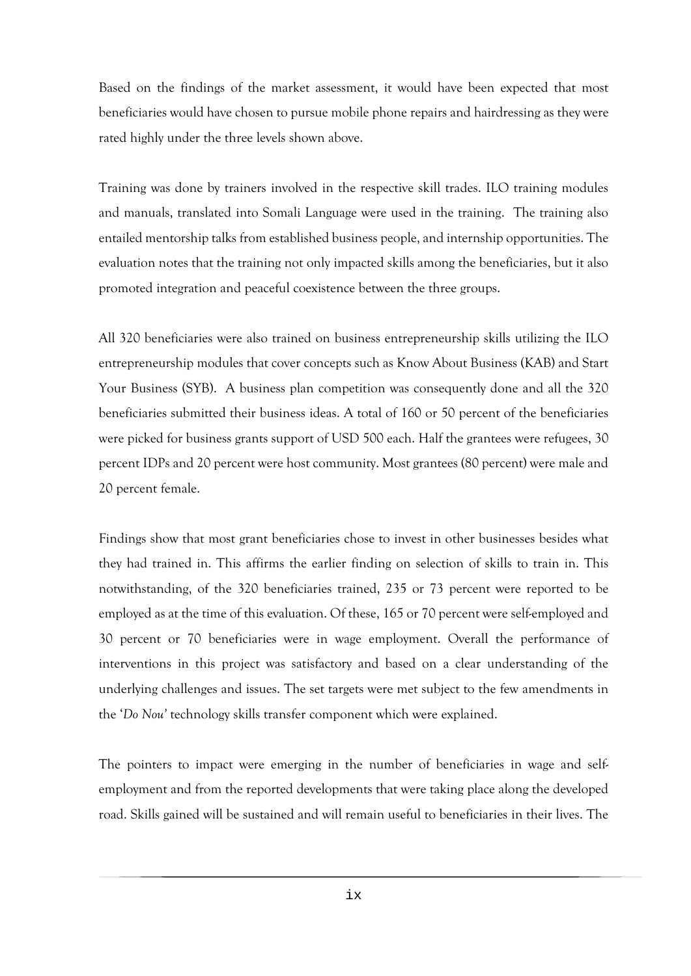Based on the findings of the market assessment, it would have been expected that most beneficiaries would have chosen to pursue mobile phone repairs and hairdressing as they were rated highly under the three levels shown above.

Training was done by trainers involved in the respective skill trades. ILO training modules and manuals, translated into Somali Language were used in the training. The training also entailed mentorship talks from established business people, and internship opportunities. The evaluation notes that the training not only impacted skills among the beneficiaries, but it also promoted integration and peaceful coexistence between the three groups.

All 320 beneficiaries were also trained on business entrepreneurship skills utilizing the ILO entrepreneurship modules that cover concepts such as Know About Business (KAB) and Start Your Business (SYB). A business plan competition was consequently done and all the 320 beneficiaries submitted their business ideas. A total of 160 or 50 percent of the beneficiaries were picked for business grants support of USD 500 each. Half the grantees were refugees, 30 percent IDPs and 20 percent were host community. Most grantees (80 percent) were male and 20 percent female.

Findings show that most grant beneficiaries chose to invest in other businesses besides what they had trained in. This affirms the earlier finding on selection of skills to train in. This notwithstanding, of the 320 beneficiaries trained, 235 or 73 percent were reported to be employed as at the time of this evaluation. Of these, 165 or 70 percent were self-employed and 30 percent or 70 beneficiaries were in wage employment. Overall the performance of interventions in this project was satisfactory and based on a clear understanding of the underlying challenges and issues. The set targets were met subject to the few amendments in the '*Do Nou'* technology skills transfer component which were explained.

The pointers to impact were emerging in the number of beneficiaries in wage and selfemployment and from the reported developments that were taking place along the developed road. Skills gained will be sustained and will remain useful to beneficiaries in their lives. The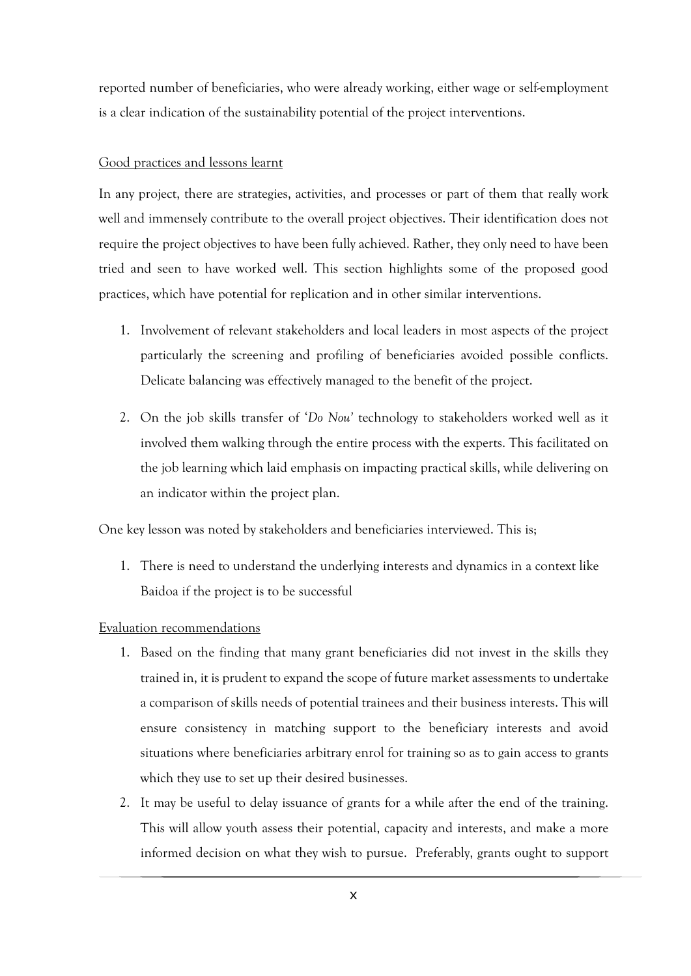reported number of beneficiaries, who were already working, either wage or self-employment is a clear indication of the sustainability potential of the project interventions.

#### Good practices and lessons learnt

In any project, there are strategies, activities, and processes or part of them that really work well and immensely contribute to the overall project objectives. Their identification does not require the project objectives to have been fully achieved. Rather, they only need to have been tried and seen to have worked well. This section highlights some of the proposed good practices, which have potential for replication and in other similar interventions.

- 1. Involvement of relevant stakeholders and local leaders in most aspects of the project particularly the screening and profiling of beneficiaries avoided possible conflicts. Delicate balancing was effectively managed to the benefit of the project.
- 2. On the job skills transfer of '*Do Nou'* technology to stakeholders worked well as it involved them walking through the entire process with the experts. This facilitated on the job learning which laid emphasis on impacting practical skills, while delivering on an indicator within the project plan.

One key lesson was noted by stakeholders and beneficiaries interviewed. This is;

1. There is need to understand the underlying interests and dynamics in a context like Baidoa if the project is to be successful

#### Evaluation recommendations

- 1. Based on the finding that many grant beneficiaries did not invest in the skills they trained in, it is prudent to expand the scope of future market assessments to undertake a comparison of skills needs of potential trainees and their business interests. This will ensure consistency in matching support to the beneficiary interests and avoid situations where beneficiaries arbitrary enrol for training so as to gain access to grants which they use to set up their desired businesses.
- 2. It may be useful to delay issuance of grants for a while after the end of the training. This will allow youth assess their potential, capacity and interests, and make a more informed decision on what they wish to pursue. Preferably, grants ought to support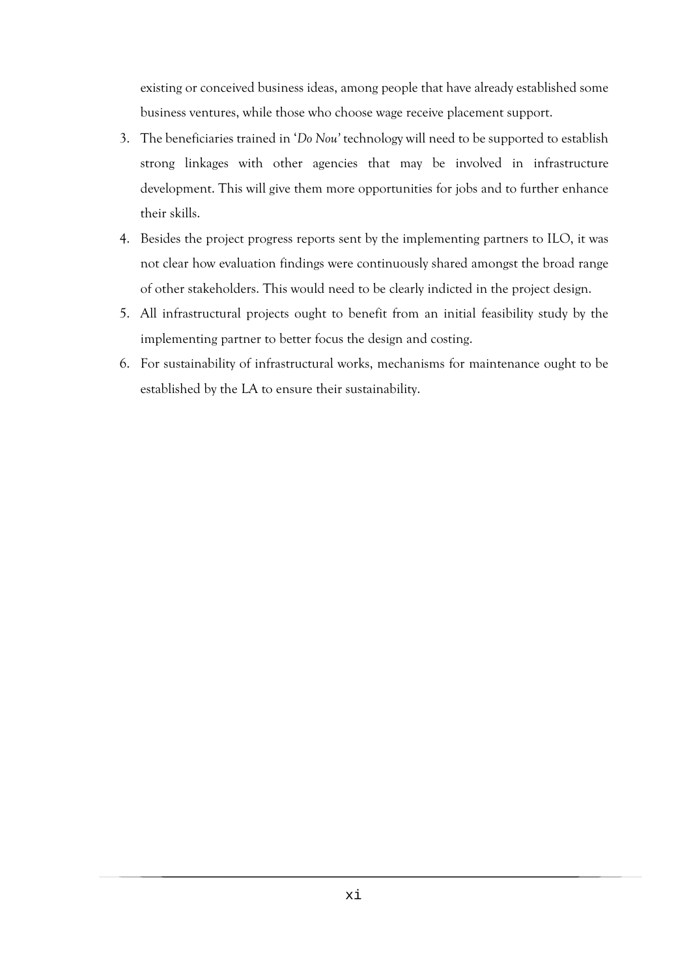existing or conceived business ideas, among people that have already established some business ventures, while those who choose wage receive placement support.

- 3. The beneficiaries trained in '*Do Nou'* technology will need to be supported to establish strong linkages with other agencies that may be involved in infrastructure development. This will give them more opportunities for jobs and to further enhance their skills.
- 4. Besides the project progress reports sent by the implementing partners to ILO, it was not clear how evaluation findings were continuously shared amongst the broad range of other stakeholders. This would need to be clearly indicted in the project design.
- 5. All infrastructural projects ought to benefit from an initial feasibility study by the implementing partner to better focus the design and costing.
- 6. For sustainability of infrastructural works, mechanisms for maintenance ought to be established by the LA to ensure their sustainability.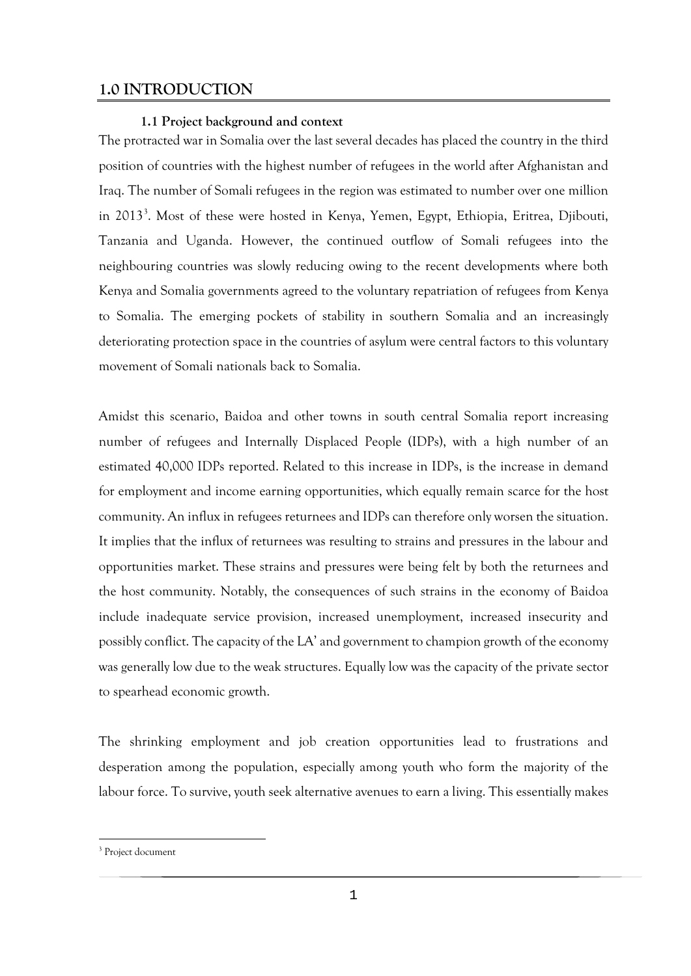# <span id="page-12-1"></span><span id="page-12-0"></span>**1.0 INTRODUCTION**

#### **1.1 Project background and context**

The protracted war in Somalia over the last several decades has placed the country in the third position of countries with the highest number of refugees in the world after Afghanistan and Iraq. The number of Somali refugees in the region was estimated to number over one million in 201[3](#page-12-2)<sup>3</sup>. Most of these were hosted in Kenya, Yemen, Egypt, Ethiopia, Eritrea, Djibouti, Tanzania and Uganda. However, the continued outflow of Somali refugees into the neighbouring countries was slowly reducing owing to the recent developments where both Kenya and Somalia governments agreed to the voluntary repatriation of refugees from Kenya to Somalia. The emerging pockets of stability in southern Somalia and an increasingly deteriorating protection space in the countries of asylum were central factors to this voluntary movement of Somali nationals back to Somalia.

Amidst this scenario, Baidoa and other towns in south central Somalia report increasing number of refugees and Internally Displaced People (IDPs), with a high number of an estimated 40,000 IDPs reported. Related to this increase in IDPs, is the increase in demand for employment and income earning opportunities, which equally remain scarce for the host community. An influx in refugees returnees and IDPs can therefore only worsen the situation. It implies that the influx of returnees was resulting to strains and pressures in the labour and opportunities market. These strains and pressures were being felt by both the returnees and the host community. Notably, the consequences of such strains in the economy of Baidoa include inadequate service provision, increased unemployment, increased insecurity and possibly conflict. The capacity of the LA' and government to champion growth of the economy was generally low due to the weak structures. Equally low was the capacity of the private sector to spearhead economic growth.

The shrinking employment and job creation opportunities lead to frustrations and desperation among the population, especially among youth who form the majority of the labour force. To survive, youth seek alternative avenues to earn a living. This essentially makes

**.** 

<span id="page-12-2"></span><sup>&</sup>lt;sup>3</sup> Project document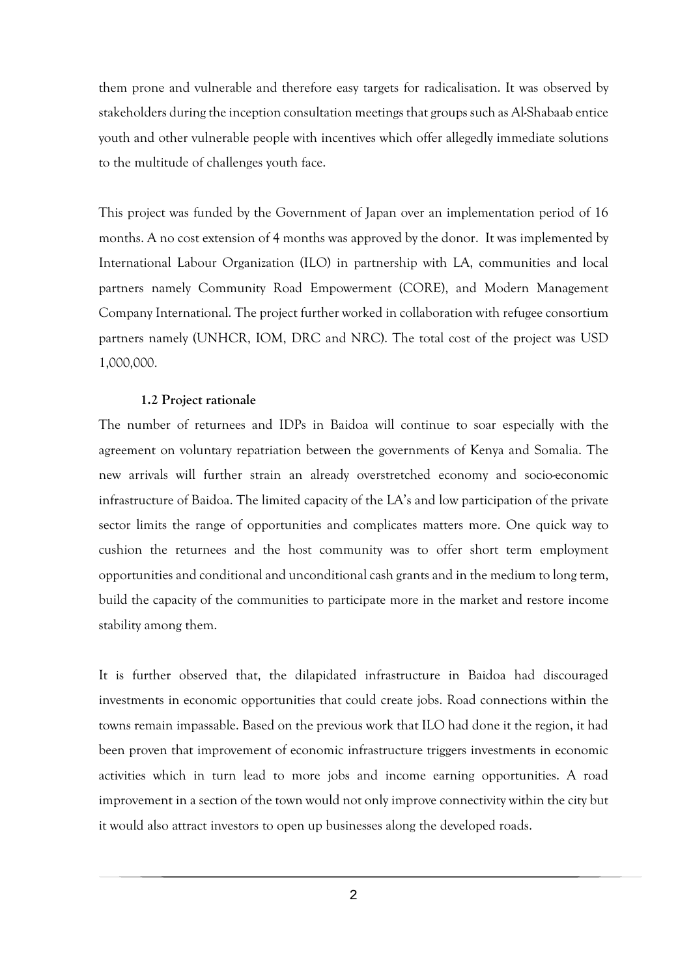them prone and vulnerable and therefore easy targets for radicalisation. It was observed by stakeholders during the inception consultation meetings that groups such as Al-Shabaab entice youth and other vulnerable people with incentives which offer allegedly immediate solutions to the multitude of challenges youth face.

This project was funded by the Government of Japan over an implementation period of 16 months. A no cost extension of 4 months was approved by the donor. It was implemented by International Labour Organization (ILO) in partnership with LA, communities and local partners namely Community Road Empowerment (CORE), and Modern Management Company International. The project further worked in collaboration with refugee consortium partners namely (UNHCR, IOM, DRC and NRC). The total cost of the project was USD 1,000,000.

#### **1.2 Project rationale**

<span id="page-13-0"></span>The number of returnees and IDPs in Baidoa will continue to soar especially with the agreement on voluntary repatriation between the governments of Kenya and Somalia. The new arrivals will further strain an already overstretched economy and socio-economic infrastructure of Baidoa. The limited capacity of the LA's and low participation of the private sector limits the range of opportunities and complicates matters more. One quick way to cushion the returnees and the host community was to offer short term employment opportunities and conditional and unconditional cash grants and in the medium to long term, build the capacity of the communities to participate more in the market and restore income stability among them.

It is further observed that, the dilapidated infrastructure in Baidoa had discouraged investments in economic opportunities that could create jobs. Road connections within the towns remain impassable. Based on the previous work that ILO had done it the region, it had been proven that improvement of economic infrastructure triggers investments in economic activities which in turn lead to more jobs and income earning opportunities. A road improvement in a section of the town would not only improve connectivity within the city but it would also attract investors to open up businesses along the developed roads.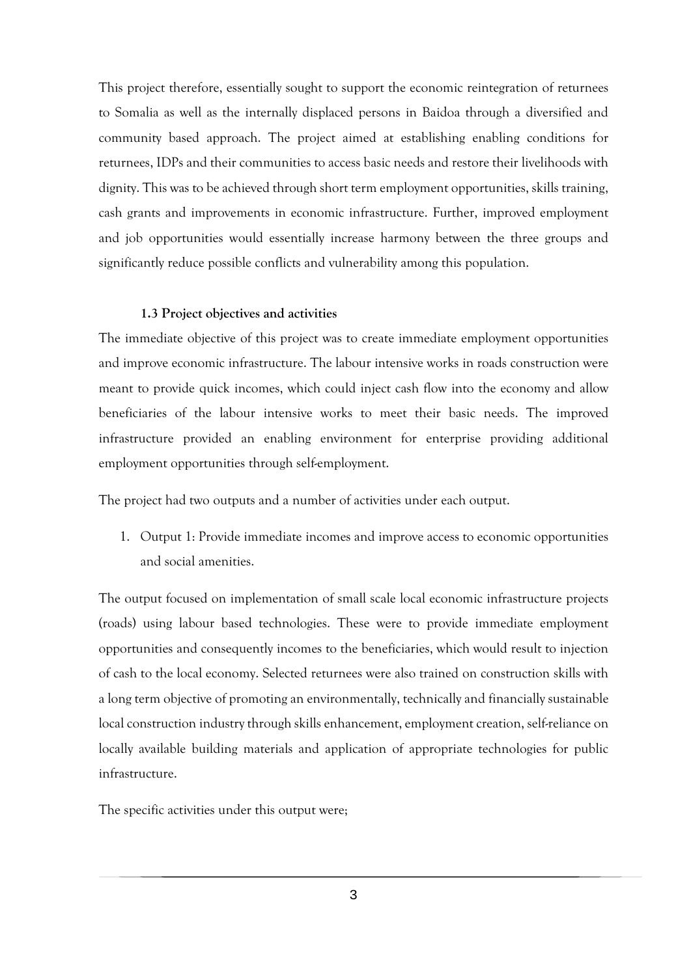This project therefore, essentially sought to support the economic reintegration of returnees to Somalia as well as the internally displaced persons in Baidoa through a diversified and community based approach. The project aimed at establishing enabling conditions for returnees, IDPs and their communities to access basic needs and restore their livelihoods with dignity. This was to be achieved through short term employment opportunities, skills training, cash grants and improvements in economic infrastructure. Further, improved employment and job opportunities would essentially increase harmony between the three groups and significantly reduce possible conflicts and vulnerability among this population.

#### **1.3 Project objectives and activities**

<span id="page-14-0"></span>The immediate objective of this project was to create immediate employment opportunities and improve economic infrastructure. The labour intensive works in roads construction were meant to provide quick incomes, which could inject cash flow into the economy and allow beneficiaries of the labour intensive works to meet their basic needs. The improved infrastructure provided an enabling environment for enterprise providing additional employment opportunities through self-employment.

The project had two outputs and a number of activities under each output.

1. Output 1: Provide immediate incomes and improve access to economic opportunities and social amenities.

The output focused on implementation of small scale local economic infrastructure projects (roads) using labour based technologies. These were to provide immediate employment opportunities and consequently incomes to the beneficiaries, which would result to injection of cash to the local economy. Selected returnees were also trained on construction skills with a long term objective of promoting an environmentally, technically and financially sustainable local construction industry through skills enhancement, employment creation, self-reliance on locally available building materials and application of appropriate technologies for public infrastructure.

The specific activities under this output were;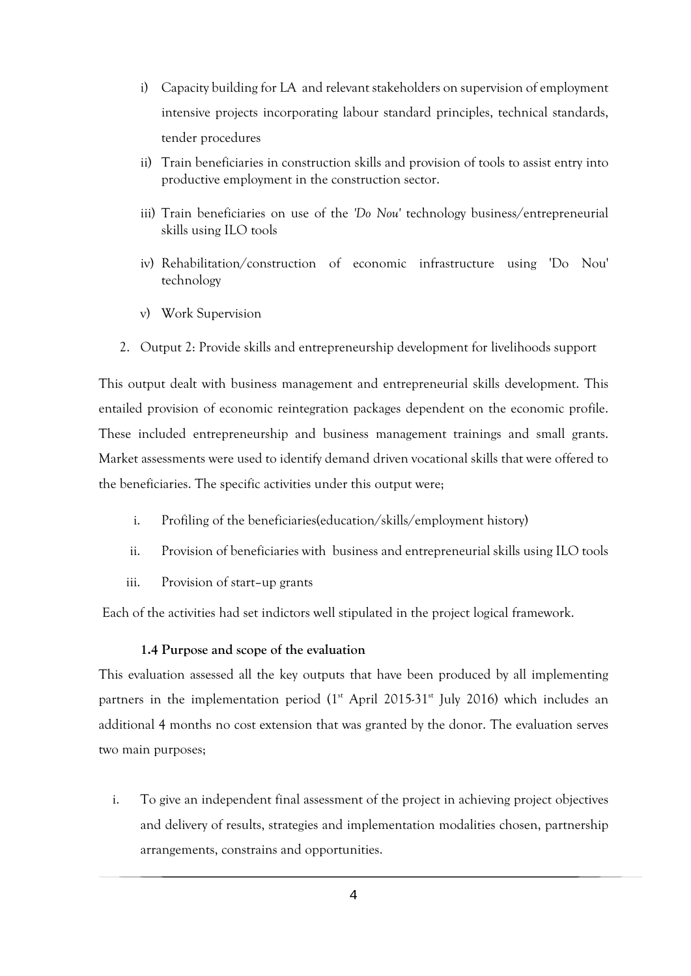- i) Capacity building for LA and relevant stakeholders on supervision of employment intensive projects incorporating labour standard principles, technical standards, tender procedures
- ii) Train beneficiaries in construction skills and provision of tools to assist entry into productive employment in the construction sector.
- iii) Train beneficiaries on use of the *'Do Nou'* technology business/entrepreneurial skills using ILO tools
- iv) Rehabilitation/construction of economic infrastructure using 'Do Nou' technology
- v) Work Supervision
- 2. Output 2: Provide skills and entrepreneurship development for livelihoods support

This output dealt with business management and entrepreneurial skills development. This entailed provision of economic reintegration packages dependent on the economic profile. These included entrepreneurship and business management trainings and small grants. Market assessments were used to identify demand driven vocational skills that were offered to the beneficiaries. The specific activities under this output were;

- i. Profiling of the beneficiaries(education/skills/employment history)
- ii. Provision of beneficiaries with business and entrepreneurial skills using ILO tools
- iii. Provision of start–up grants

Each of the activities had set indictors well stipulated in the project logical framework.

#### **1.4 Purpose and scope of the evaluation**

<span id="page-15-0"></span>This evaluation assessed all the key outputs that have been produced by all implementing partners in the implementation period  $(1<sup>st</sup>$  April 2015-31 $<sup>st</sup>$  July 2016) which includes an</sup> additional 4 months no cost extension that was granted by the donor. The evaluation serves two main purposes;

i. To give an independent final assessment of the project in achieving project objectives and delivery of results, strategies and implementation modalities chosen, partnership arrangements, constrains and opportunities.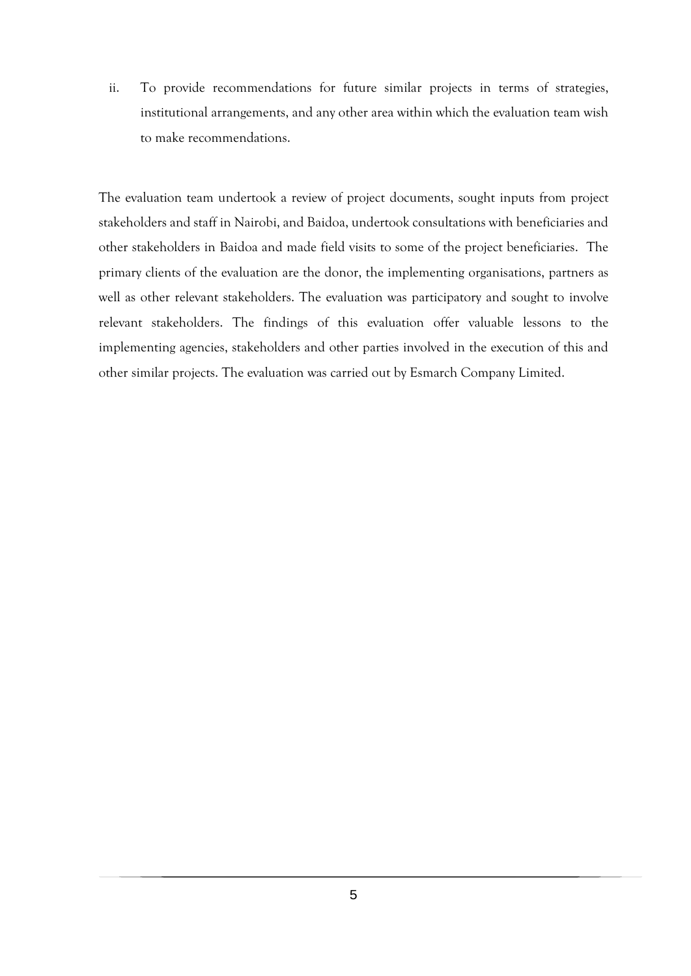ii. To provide recommendations for future similar projects in terms of strategies, institutional arrangements, and any other area within which the evaluation team wish to make recommendations.

The evaluation team undertook a review of project documents, sought inputs from project stakeholders and staff in Nairobi, and Baidoa, undertook consultations with beneficiaries and other stakeholders in Baidoa and made field visits to some of the project beneficiaries. The primary clients of the evaluation are the donor, the implementing organisations, partners as well as other relevant stakeholders. The evaluation was participatory and sought to involve relevant stakeholders. The findings of this evaluation offer valuable lessons to the implementing agencies, stakeholders and other parties involved in the execution of this and other similar projects. The evaluation was carried out by Esmarch Company Limited.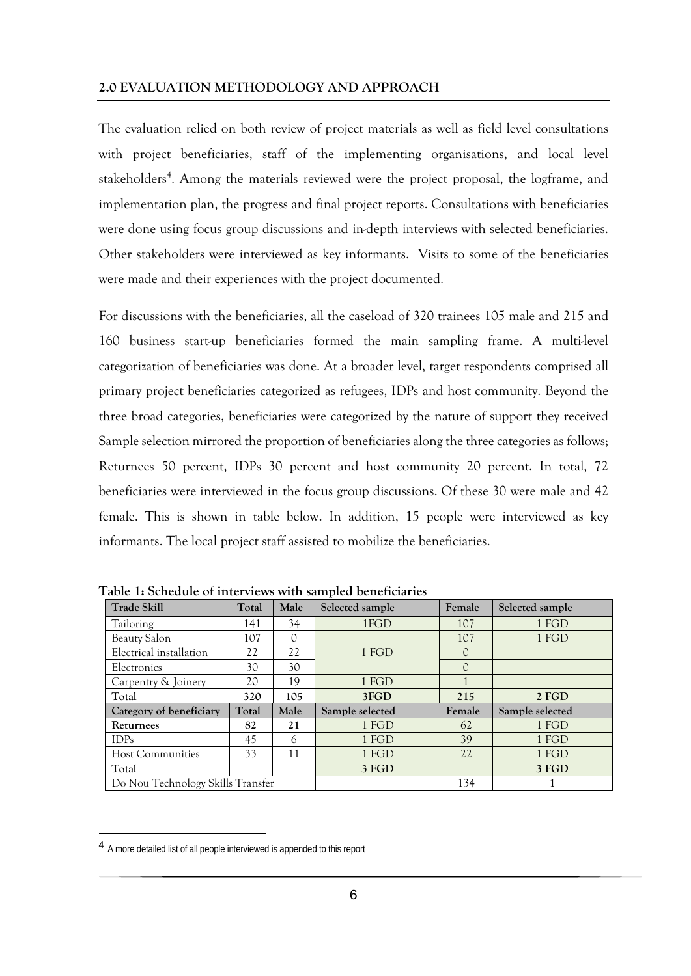<span id="page-17-0"></span>The evaluation relied on both review of project materials as well as field level consultations with project beneficiaries, staff of the implementing organisations, and local level stakeholders<sup>[4](#page-17-2)</sup>. Among the materials reviewed were the project proposal, the logframe, and implementation plan, the progress and final project reports. Consultations with beneficiaries were done using focus group discussions and in-depth interviews with selected beneficiaries. Other stakeholders were interviewed as key informants. Visits to some of the beneficiaries were made and their experiences with the project documented.

For discussions with the beneficiaries, all the caseload of 320 trainees 105 male and 215 and 160 business start-up beneficiaries formed the main sampling frame. A multi-level categorization of beneficiaries was done. At a broader level, target respondents comprised all primary project beneficiaries categorized as refugees, IDPs and host community. Beyond the three broad categories, beneficiaries were categorized by the nature of support they received Sample selection mirrored the proportion of beneficiaries along the three categories as follows; Returnees 50 percent, IDPs 30 percent and host community 20 percent. In total, 72 beneficiaries were interviewed in the focus group discussions. Of these 30 were male and 42 female. This is shown in table below. In addition, 15 people were interviewed as key informants. The local project staff assisted to mobilize the beneficiaries.

| <b>Trade Skill</b>                | Total | Male | Selected sample | Female   | Selected sample |
|-----------------------------------|-------|------|-----------------|----------|-----------------|
| Tailoring                         | 141   | 34   | 1FGD            | 107      | 1 FGD           |
| Beauty Salon                      | 107   | 0    |                 | 107      | 1 FGD           |
| Electrical installation           | 22    | 22   | 1 FGD           | 0        |                 |
| Electronics                       | 30    | 30   |                 | $\Omega$ |                 |
| Carpentry & Joinery               | 20    | 19   | 1 FGD           |          |                 |
| Total                             | 320   | 105  | 3FGD            | 215      | 2 FGD           |
| Category of beneficiary           | Total | Male | Sample selected | Female   | Sample selected |
| Returnees                         | 82    | 21   | 1 FGD           | 62       | 1 FGD           |
| <b>IDPs</b>                       | 45    | 6    | 1 FGD           | 39       | 1 FGD           |
| <b>Host Communities</b>           | 33    | 11   | 1 FGD           | 22       | 1 FGD           |
| Total                             |       |      | 3 FGD           |          | 3 FGD           |
| Do Nou Technology Skills Transfer |       |      |                 | 134      |                 |

<span id="page-17-1"></span>**Table 1: Schedule of interviews with sampled beneficiaries** 

**.** 

<span id="page-17-2"></span><sup>4</sup> A more detailed list of all people interviewed is appended to this report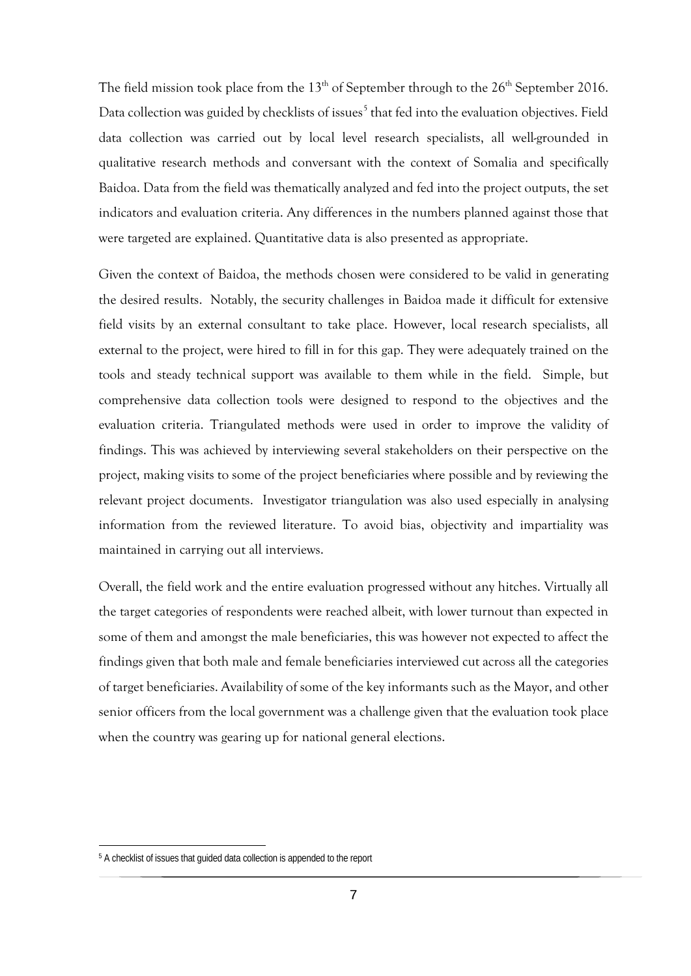The field mission took place from the  $13<sup>th</sup>$  of September through to the  $26<sup>th</sup>$  September 2016. Data collection was guided by checklists of issues<sup>[5](#page-18-0)</sup> that fed into the evaluation objectives. Field data collection was carried out by local level research specialists, all well-grounded in qualitative research methods and conversant with the context of Somalia and specifically Baidoa. Data from the field was thematically analyzed and fed into the project outputs, the set indicators and evaluation criteria. Any differences in the numbers planned against those that were targeted are explained. Quantitative data is also presented as appropriate.

Given the context of Baidoa, the methods chosen were considered to be valid in generating the desired results. Notably, the security challenges in Baidoa made it difficult for extensive field visits by an external consultant to take place. However, local research specialists, all external to the project, were hired to fill in for this gap. They were adequately trained on the tools and steady technical support was available to them while in the field. Simple, but comprehensive data collection tools were designed to respond to the objectives and the evaluation criteria. Triangulated methods were used in order to improve the validity of findings. This was achieved by interviewing several stakeholders on their perspective on the project, making visits to some of the project beneficiaries where possible and by reviewing the relevant project documents. Investigator triangulation was also used especially in analysing information from the reviewed literature. To avoid bias, objectivity and impartiality was maintained in carrying out all interviews.

Overall, the field work and the entire evaluation progressed without any hitches. Virtually all the target categories of respondents were reached albeit, with lower turnout than expected in some of them and amongst the male beneficiaries, this was however not expected to affect the findings given that both male and female beneficiaries interviewed cut across all the categories of target beneficiaries. Availability of some of the key informants such as the Mayor, and other senior officers from the local government was a challenge given that the evaluation took place when the country was gearing up for national general elections.

**.** 

<span id="page-18-0"></span><sup>5</sup> A checklist of issues that guided data collection is appended to the report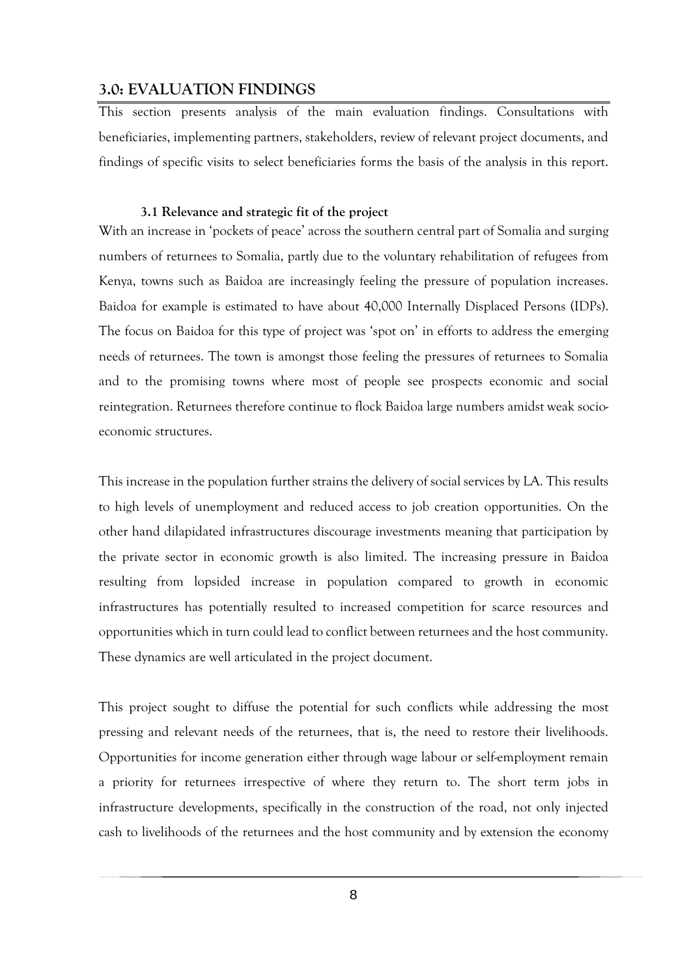# <span id="page-19-0"></span>**3.0: EVALUATION FINDINGS**

This section presents analysis of the main evaluation findings. Consultations with beneficiaries, implementing partners, stakeholders, review of relevant project documents, and findings of specific visits to select beneficiaries forms the basis of the analysis in this report.

#### **3.1 Relevance and strategic fit of the project**

<span id="page-19-1"></span>With an increase in 'pockets of peace' across the southern central part of Somalia and surging numbers of returnees to Somalia, partly due to the voluntary rehabilitation of refugees from Kenya, towns such as Baidoa are increasingly feeling the pressure of population increases. Baidoa for example is estimated to have about 40,000 Internally Displaced Persons (IDPs). The focus on Baidoa for this type of project was 'spot on' in efforts to address the emerging needs of returnees. The town is amongst those feeling the pressures of returnees to Somalia and to the promising towns where most of people see prospects economic and social reintegration. Returnees therefore continue to flock Baidoa large numbers amidst weak socioeconomic structures.

This increase in the population further strains the delivery of social services by LA. This results to high levels of unemployment and reduced access to job creation opportunities. On the other hand dilapidated infrastructures discourage investments meaning that participation by the private sector in economic growth is also limited. The increasing pressure in Baidoa resulting from lopsided increase in population compared to growth in economic infrastructures has potentially resulted to increased competition for scarce resources and opportunities which in turn could lead to conflict between returnees and the host community. These dynamics are well articulated in the project document.

This project sought to diffuse the potential for such conflicts while addressing the most pressing and relevant needs of the returnees, that is, the need to restore their livelihoods. Opportunities for income generation either through wage labour or self-employment remain a priority for returnees irrespective of where they return to. The short term jobs in infrastructure developments, specifically in the construction of the road, not only injected cash to livelihoods of the returnees and the host community and by extension the economy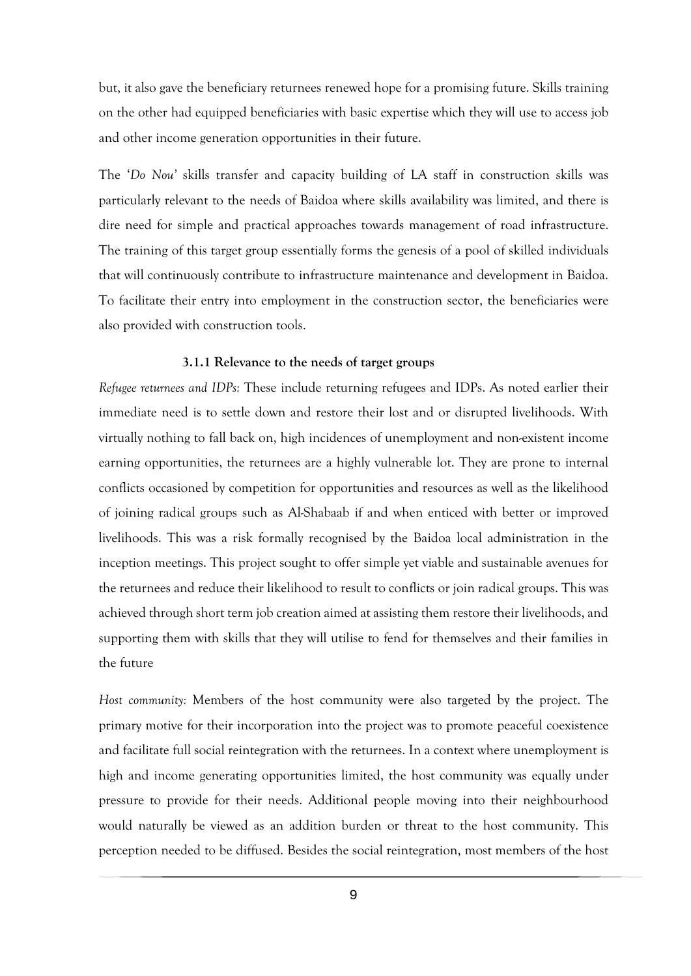but, it also gave the beneficiary returnees renewed hope for a promising future. Skills training on the other had equipped beneficiaries with basic expertise which they will use to access job and other income generation opportunities in their future.

The '*Do Nou'* skills transfer and capacity building of LA staff in construction skills was particularly relevant to the needs of Baidoa where skills availability was limited, and there is dire need for simple and practical approaches towards management of road infrastructure. The training of this target group essentially forms the genesis of a pool of skilled individuals that will continuously contribute to infrastructure maintenance and development in Baidoa. To facilitate their entry into employment in the construction sector, the beneficiaries were also provided with construction tools.

#### **3.1.1 Relevance to the needs of target groups**

<span id="page-20-0"></span>*Refugee returnees and IDPs:* These include returning refugees and IDPs. As noted earlier their immediate need is to settle down and restore their lost and or disrupted livelihoods. With virtually nothing to fall back on, high incidences of unemployment and non-existent income earning opportunities, the returnees are a highly vulnerable lot. They are prone to internal conflicts occasioned by competition for opportunities and resources as well as the likelihood of joining radical groups such as Al-Shabaab if and when enticed with better or improved livelihoods. This was a risk formally recognised by the Baidoa local administration in the inception meetings. This project sought to offer simple yet viable and sustainable avenues for the returnees and reduce their likelihood to result to conflicts or join radical groups. This was achieved through short term job creation aimed at assisting them restore their livelihoods, and supporting them with skills that they will utilise to fend for themselves and their families in the future

*Host community:* Members of the host community were also targeted by the project. The primary motive for their incorporation into the project was to promote peaceful coexistence and facilitate full social reintegration with the returnees. In a context where unemployment is high and income generating opportunities limited, the host community was equally under pressure to provide for their needs. Additional people moving into their neighbourhood would naturally be viewed as an addition burden or threat to the host community. This perception needed to be diffused. Besides the social reintegration, most members of the host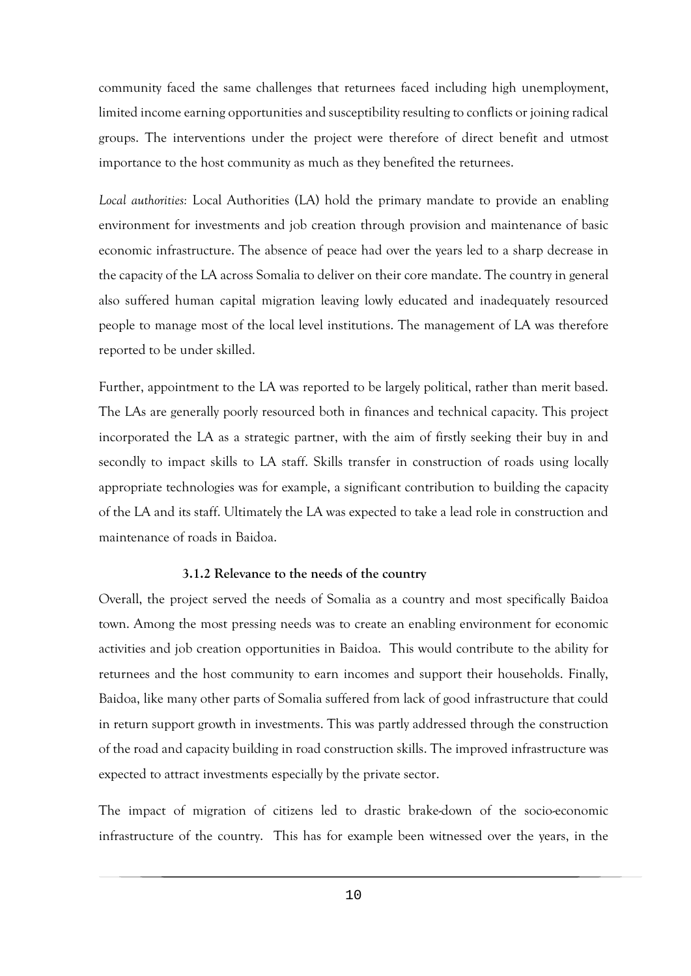community faced the same challenges that returnees faced including high unemployment, limited income earning opportunities and susceptibility resulting to conflicts or joining radical groups. The interventions under the project were therefore of direct benefit and utmost importance to the host community as much as they benefited the returnees.

*Local authorities:* Local Authorities (LA) hold the primary mandate to provide an enabling environment for investments and job creation through provision and maintenance of basic economic infrastructure. The absence of peace had over the years led to a sharp decrease in the capacity of the LA across Somalia to deliver on their core mandate. The country in general also suffered human capital migration leaving lowly educated and inadequately resourced people to manage most of the local level institutions. The management of LA was therefore reported to be under skilled.

Further, appointment to the LA was reported to be largely political, rather than merit based. The LAs are generally poorly resourced both in finances and technical capacity. This project incorporated the LA as a strategic partner, with the aim of firstly seeking their buy in and secondly to impact skills to LA staff. Skills transfer in construction of roads using locally appropriate technologies was for example, a significant contribution to building the capacity of the LA and its staff. Ultimately the LA was expected to take a lead role in construction and maintenance of roads in Baidoa.

#### **3.1.2 Relevance to the needs of the country**

<span id="page-21-0"></span>Overall, the project served the needs of Somalia as a country and most specifically Baidoa town. Among the most pressing needs was to create an enabling environment for economic activities and job creation opportunities in Baidoa. This would contribute to the ability for returnees and the host community to earn incomes and support their households. Finally, Baidoa, like many other parts of Somalia suffered from lack of good infrastructure that could in return support growth in investments. This was partly addressed through the construction of the road and capacity building in road construction skills. The improved infrastructure was expected to attract investments especially by the private sector.

The impact of migration of citizens led to drastic brake-down of the socio-economic infrastructure of the country. This has for example been witnessed over the years, in the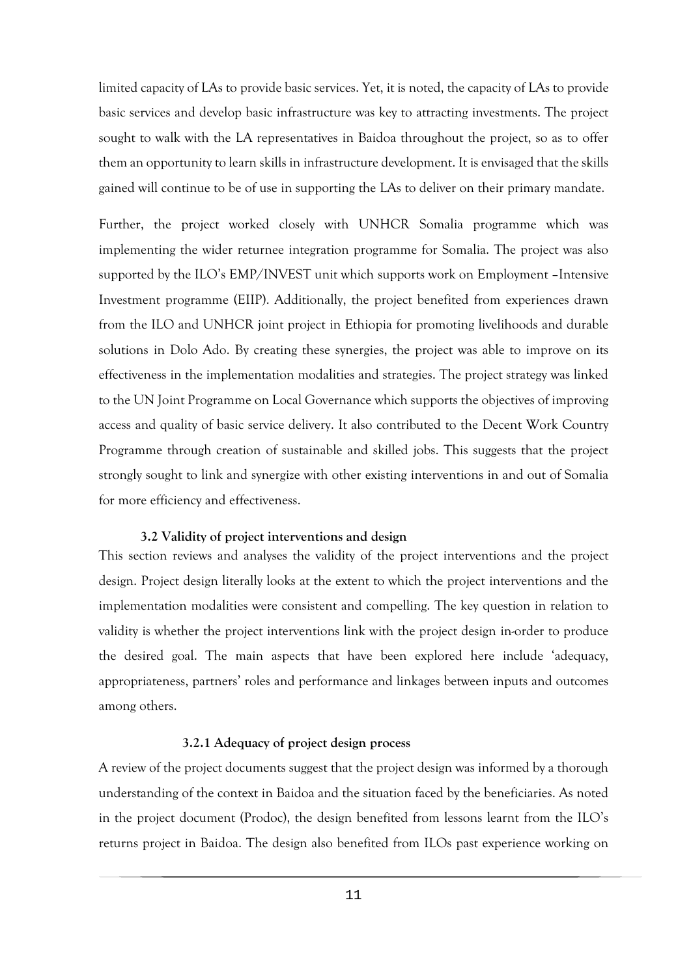limited capacity of LAs to provide basic services. Yet, it is noted, the capacity of LAs to provide basic services and develop basic infrastructure was key to attracting investments. The project sought to walk with the LA representatives in Baidoa throughout the project, so as to offer them an opportunity to learn skills in infrastructure development. It is envisaged that the skills gained will continue to be of use in supporting the LAs to deliver on their primary mandate.

Further, the project worked closely with UNHCR Somalia programme which was implementing the wider returnee integration programme for Somalia. The project was also supported by the ILO's EMP/INVEST unit which supports work on Employment –Intensive Investment programme (EIIP). Additionally, the project benefited from experiences drawn from the ILO and UNHCR joint project in Ethiopia for promoting livelihoods and durable solutions in Dolo Ado. By creating these synergies, the project was able to improve on its effectiveness in the implementation modalities and strategies. The project strategy was linked to the UN Joint Programme on Local Governance which supports the objectives of improving access and quality of basic service delivery. It also contributed to the Decent Work Country Programme through creation of sustainable and skilled jobs. This suggests that the project strongly sought to link and synergize with other existing interventions in and out of Somalia for more efficiency and effectiveness.

#### **3.2 Validity of project interventions and design**

<span id="page-22-0"></span>This section reviews and analyses the validity of the project interventions and the project design. Project design literally looks at the extent to which the project interventions and the implementation modalities were consistent and compelling. The key question in relation to validity is whether the project interventions link with the project design in-order to produce the desired goal. The main aspects that have been explored here include 'adequacy, appropriateness, partners' roles and performance and linkages between inputs and outcomes among others.

#### **3.2.1 Adequacy of project design process**

<span id="page-22-1"></span>A review of the project documents suggest that the project design was informed by a thorough understanding of the context in Baidoa and the situation faced by the beneficiaries. As noted in the project document (Prodoc), the design benefited from lessons learnt from the ILO's returns project in Baidoa. The design also benefited from ILOs past experience working on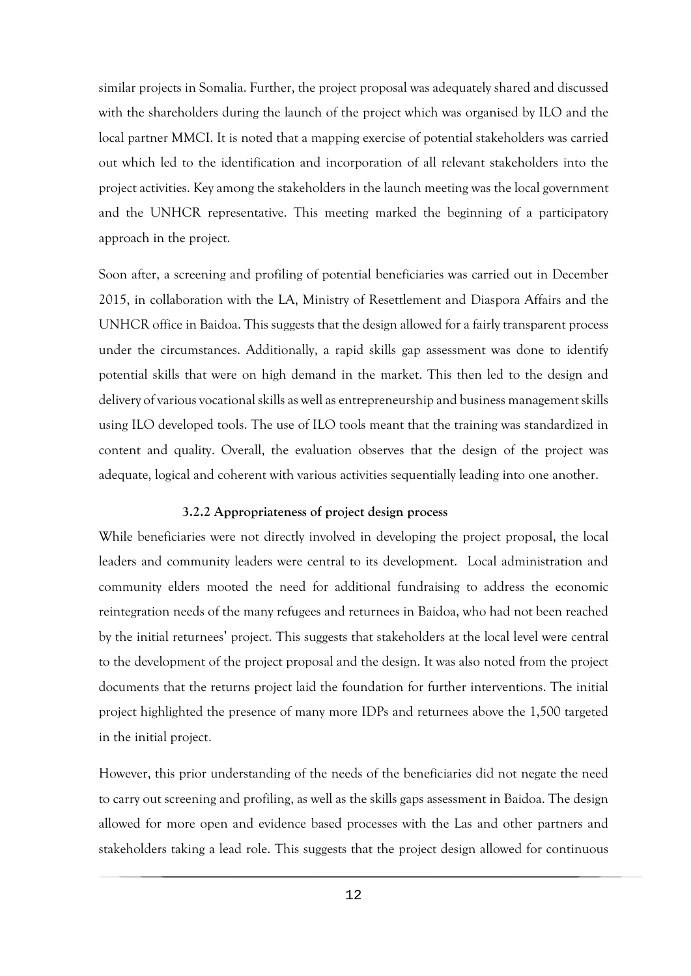similar projects in Somalia. Further, the project proposal was adequately shared and discussed with the shareholders during the launch of the project which was organised by ILO and the local partner MMCI. It is noted that a mapping exercise of potential stakeholders was carried out which led to the identification and incorporation of all relevant stakeholders into the project activities. Key among the stakeholders in the launch meeting was the local government and the UNHCR representative. This meeting marked the beginning of a participatory approach in the project.

Soon after, a screening and profiling of potential beneficiaries was carried out in December 2015, in collaboration with the LA, Ministry of Resettlement and Diaspora Affairs and the UNHCR office in Baidoa. This suggests that the design allowed for a fairly transparent process under the circumstances. Additionally, a rapid skills gap assessment was done to identify potential skills that were on high demand in the market. This then led to the design and delivery of various vocational skills as well as entrepreneurship and business management skills using ILO developed tools. The use of ILO tools meant that the training was standardized in content and quality. Overall, the evaluation observes that the design of the project was adequate, logical and coherent with various activities sequentially leading into one another.

#### **3.2.2 Appropriateness of project design process**

<span id="page-23-0"></span>While beneficiaries were not directly involved in developing the project proposal, the local leaders and community leaders were central to its development. Local administration and community elders mooted the need for additional fundraising to address the economic reintegration needs of the many refugees and returnees in Baidoa, who had not been reached by the initial returnees' project. This suggests that stakeholders at the local level were central to the development of the project proposal and the design. It was also noted from the project documents that the returns project laid the foundation for further interventions. The initial project highlighted the presence of many more IDPs and returnees above the 1,500 targeted in the initial project.

However, this prior understanding of the needs of the beneficiaries did not negate the need to carry out screening and profiling, as well as the skills gaps assessment in Baidoa. The design allowed for more open and evidence based processes with the Las and other partners and stakeholders taking a lead role. This suggests that the project design allowed for continuous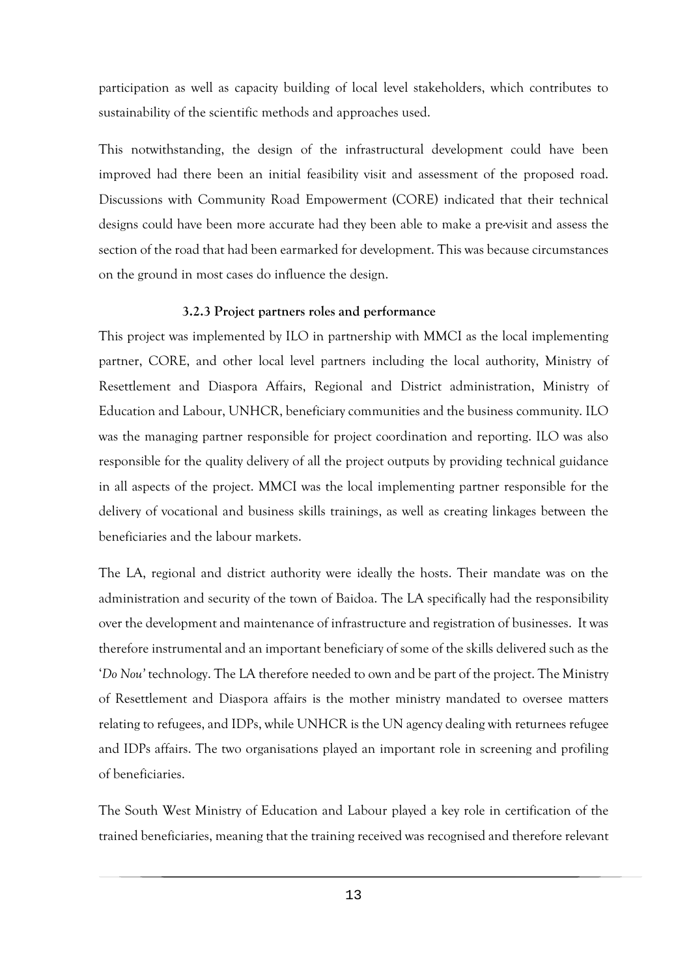participation as well as capacity building of local level stakeholders, which contributes to sustainability of the scientific methods and approaches used.

This notwithstanding, the design of the infrastructural development could have been improved had there been an initial feasibility visit and assessment of the proposed road. Discussions with Community Road Empowerment (CORE) indicated that their technical designs could have been more accurate had they been able to make a pre-visit and assess the section of the road that had been earmarked for development. This was because circumstances on the ground in most cases do influence the design.

#### **3.2.3 Project partners roles and performance**

<span id="page-24-0"></span>This project was implemented by ILO in partnership with MMCI as the local implementing partner, CORE, and other local level partners including the local authority, Ministry of Resettlement and Diaspora Affairs, Regional and District administration, Ministry of Education and Labour, UNHCR, beneficiary communities and the business community. ILO was the managing partner responsible for project coordination and reporting. ILO was also responsible for the quality delivery of all the project outputs by providing technical guidance in all aspects of the project. MMCI was the local implementing partner responsible for the delivery of vocational and business skills trainings, as well as creating linkages between the beneficiaries and the labour markets.

The LA, regional and district authority were ideally the hosts. Their mandate was on the administration and security of the town of Baidoa. The LA specifically had the responsibility over the development and maintenance of infrastructure and registration of businesses. It was therefore instrumental and an important beneficiary of some of the skills delivered such as the '*Do Nou'* technology. The LA therefore needed to own and be part of the project. The Ministry of Resettlement and Diaspora affairs is the mother ministry mandated to oversee matters relating to refugees, and IDPs, while UNHCR is the UN agency dealing with returnees refugee and IDPs affairs. The two organisations played an important role in screening and profiling of beneficiaries.

The South West Ministry of Education and Labour played a key role in certification of the trained beneficiaries, meaning that the training received was recognised and therefore relevant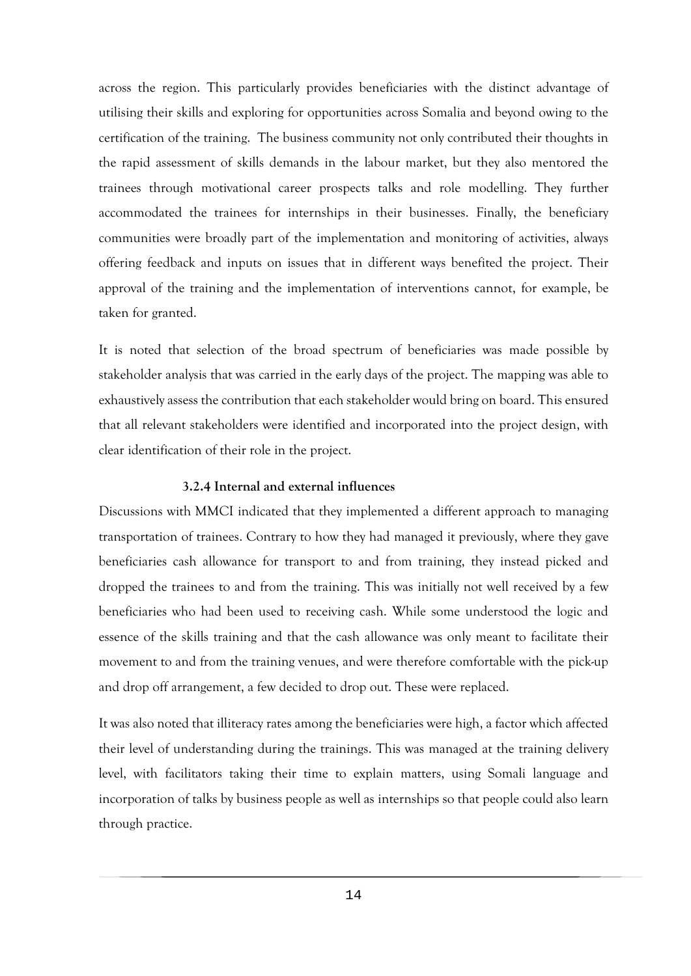across the region. This particularly provides beneficiaries with the distinct advantage of utilising their skills and exploring for opportunities across Somalia and beyond owing to the certification of the training. The business community not only contributed their thoughts in the rapid assessment of skills demands in the labour market, but they also mentored the trainees through motivational career prospects talks and role modelling. They further accommodated the trainees for internships in their businesses. Finally, the beneficiary communities were broadly part of the implementation and monitoring of activities, always offering feedback and inputs on issues that in different ways benefited the project. Their approval of the training and the implementation of interventions cannot, for example, be taken for granted.

It is noted that selection of the broad spectrum of beneficiaries was made possible by stakeholder analysis that was carried in the early days of the project. The mapping was able to exhaustively assess the contribution that each stakeholder would bring on board. This ensured that all relevant stakeholders were identified and incorporated into the project design, with clear identification of their role in the project.

#### **3.2.4 Internal and external influences**

<span id="page-25-0"></span>Discussions with MMCI indicated that they implemented a different approach to managing transportation of trainees. Contrary to how they had managed it previously, where they gave beneficiaries cash allowance for transport to and from training, they instead picked and dropped the trainees to and from the training. This was initially not well received by a few beneficiaries who had been used to receiving cash. While some understood the logic and essence of the skills training and that the cash allowance was only meant to facilitate their movement to and from the training venues, and were therefore comfortable with the pick-up and drop off arrangement, a few decided to drop out. These were replaced.

It was also noted that illiteracy rates among the beneficiaries were high, a factor which affected their level of understanding during the trainings. This was managed at the training delivery level, with facilitators taking their time to explain matters, using Somali language and incorporation of talks by business people as well as internships so that people could also learn through practice.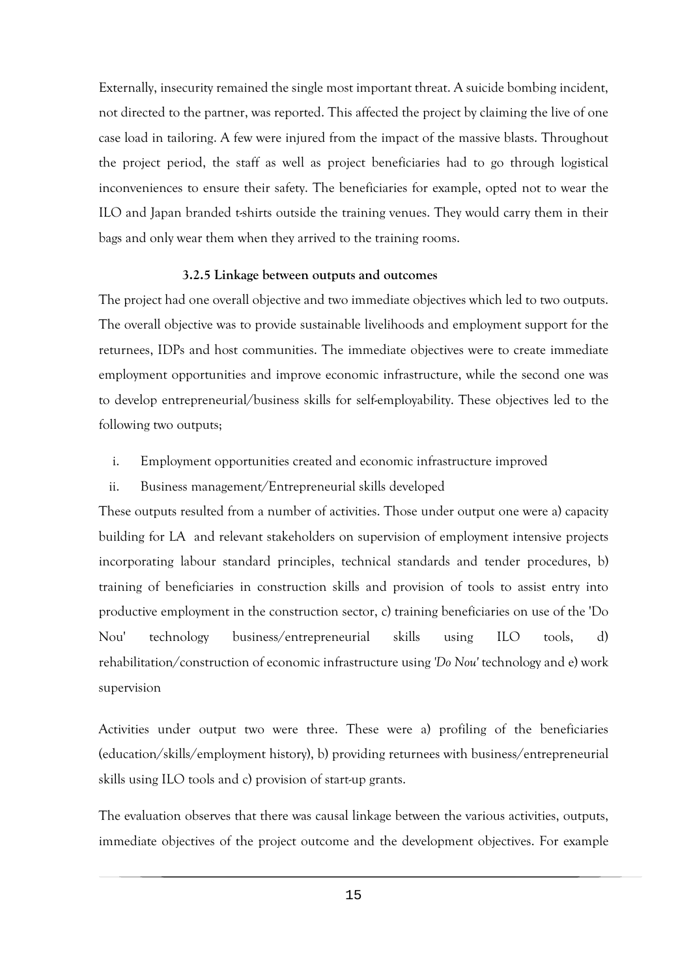Externally, insecurity remained the single most important threat. A suicide bombing incident, not directed to the partner, was reported. This affected the project by claiming the live of one case load in tailoring. A few were injured from the impact of the massive blasts. Throughout the project period, the staff as well as project beneficiaries had to go through logistical inconveniences to ensure their safety. The beneficiaries for example, opted not to wear the ILO and Japan branded t-shirts outside the training venues. They would carry them in their bags and only wear them when they arrived to the training rooms.

#### **3.2.5 Linkage between outputs and outcomes**

<span id="page-26-0"></span>The project had one overall objective and two immediate objectives which led to two outputs. The overall objective was to provide sustainable livelihoods and employment support for the returnees, IDPs and host communities. The immediate objectives were to create immediate employment opportunities and improve economic infrastructure, while the second one was to develop entrepreneurial/business skills for self-employability. These objectives led to the following two outputs;

- i. Employment opportunities created and economic infrastructure improved
- ii. Business management/Entrepreneurial skills developed

These outputs resulted from a number of activities. Those under output one were a) capacity building for LA and relevant stakeholders on supervision of employment intensive projects incorporating labour standard principles, technical standards and tender procedures, b) training of beneficiaries in construction skills and provision of tools to assist entry into productive employment in the construction sector, c) training beneficiaries on use of the 'Do Nou' technology business/entrepreneurial skills using ILO tools, d) rehabilitation/construction of economic infrastructure using *'Do Nou'* technology and e) work supervision

Activities under output two were three. These were a) profiling of the beneficiaries (education/skills/employment history), b) providing returnees with business/entrepreneurial skills using ILO tools and c) provision of start-up grants.

The evaluation observes that there was causal linkage between the various activities, outputs, immediate objectives of the project outcome and the development objectives. For example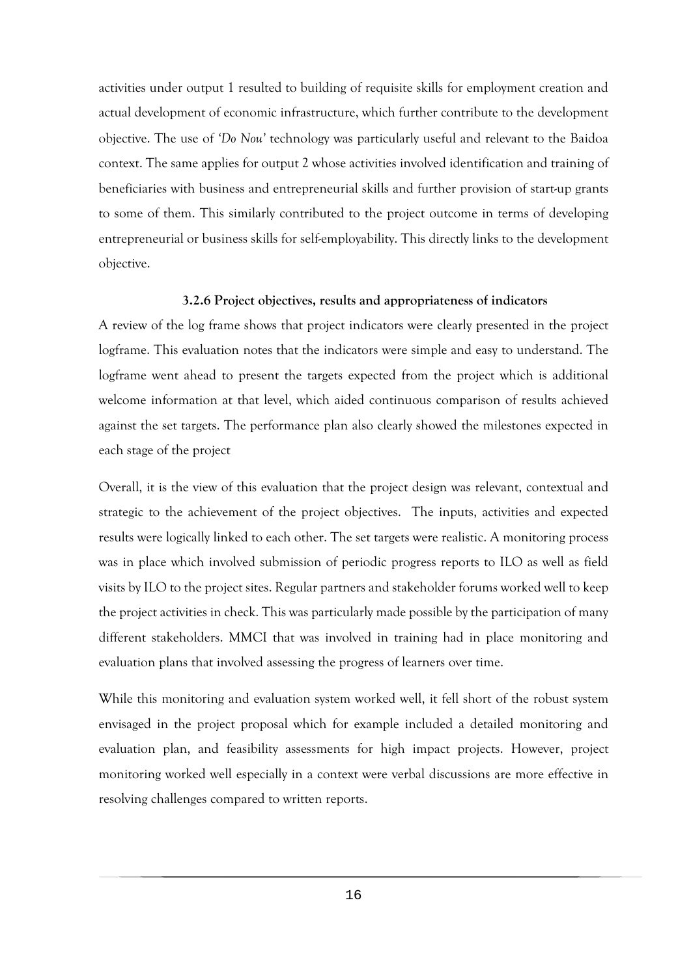activities under output 1 resulted to building of requisite skills for employment creation and actual development of economic infrastructure, which further contribute to the development objective. The use of *'Do Nou'* technology was particularly useful and relevant to the Baidoa context. The same applies for output 2 whose activities involved identification and training of beneficiaries with business and entrepreneurial skills and further provision of start-up grants to some of them. This similarly contributed to the project outcome in terms of developing entrepreneurial or business skills for self-employability. This directly links to the development objective.

#### **3.2.6 Project objectives, results and appropriateness of indicators**

<span id="page-27-0"></span>A review of the log frame shows that project indicators were clearly presented in the project logframe. This evaluation notes that the indicators were simple and easy to understand. The logframe went ahead to present the targets expected from the project which is additional welcome information at that level, which aided continuous comparison of results achieved against the set targets. The performance plan also clearly showed the milestones expected in each stage of the project

Overall, it is the view of this evaluation that the project design was relevant, contextual and strategic to the achievement of the project objectives. The inputs, activities and expected results were logically linked to each other. The set targets were realistic. A monitoring process was in place which involved submission of periodic progress reports to ILO as well as field visits by ILO to the project sites. Regular partners and stakeholder forums worked well to keep the project activities in check. This was particularly made possible by the participation of many different stakeholders. MMCI that was involved in training had in place monitoring and evaluation plans that involved assessing the progress of learners over time.

While this monitoring and evaluation system worked well, it fell short of the robust system envisaged in the project proposal which for example included a detailed monitoring and evaluation plan, and feasibility assessments for high impact projects. However, project monitoring worked well especially in a context were verbal discussions are more effective in resolving challenges compared to written reports.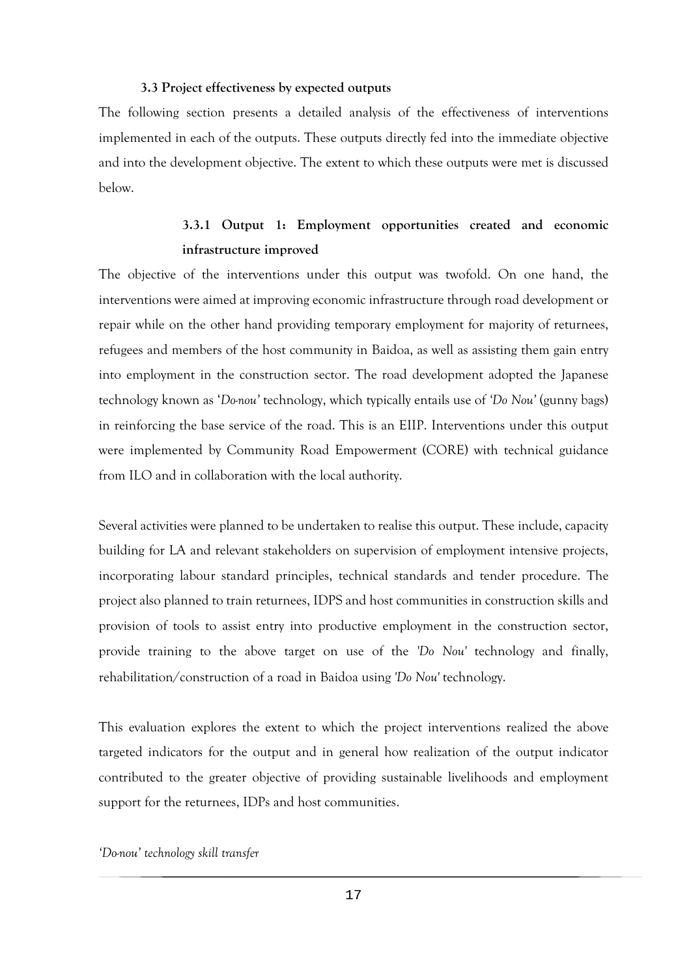#### **3.3 Project effectiveness by expected outputs**

<span id="page-28-0"></span>The following section presents a detailed analysis of the effectiveness of interventions implemented in each of the outputs. These outputs directly fed into the immediate objective and into the development objective. The extent to which these outputs were met is discussed below.

# **3.3.1 Output 1: Employment opportunities created and economic infrastructure improved**

<span id="page-28-1"></span>The objective of the interventions under this output was twofold. On one hand, the interventions were aimed at improving economic infrastructure through road development or repair while on the other hand providing temporary employment for majority of returnees, refugees and members of the host community in Baidoa, as well as assisting them gain entry into employment in the construction sector. The road development adopted the Japanese technology known as '*Do-nou'* technology, which typically entails use of *'Do Nou'* (gunny bags) in reinforcing the base service of the road. This is an EIIP. Interventions under this output were implemented by Community Road Empowerment (CORE) with technical guidance from ILO and in collaboration with the local authority.

Several activities were planned to be undertaken to realise this output. These include, capacity building for LA and relevant stakeholders on supervision of employment intensive projects, incorporating labour standard principles, technical standards and tender procedure. The project also planned to train returnees, IDPS and host communities in construction skills and provision of tools to assist entry into productive employment in the construction sector, provide training to the above target on use of the *'Do Nou'* technology and finally, rehabilitation/construction of a road in Baidoa using *'Do Nou'* technology.

This evaluation explores the extent to which the project interventions realized the above targeted indicators for the output and in general how realization of the output indicator contributed to the greater objective of providing sustainable livelihoods and employment support for the returnees, IDPs and host communities.

*'Do-nou' technology skill transfer*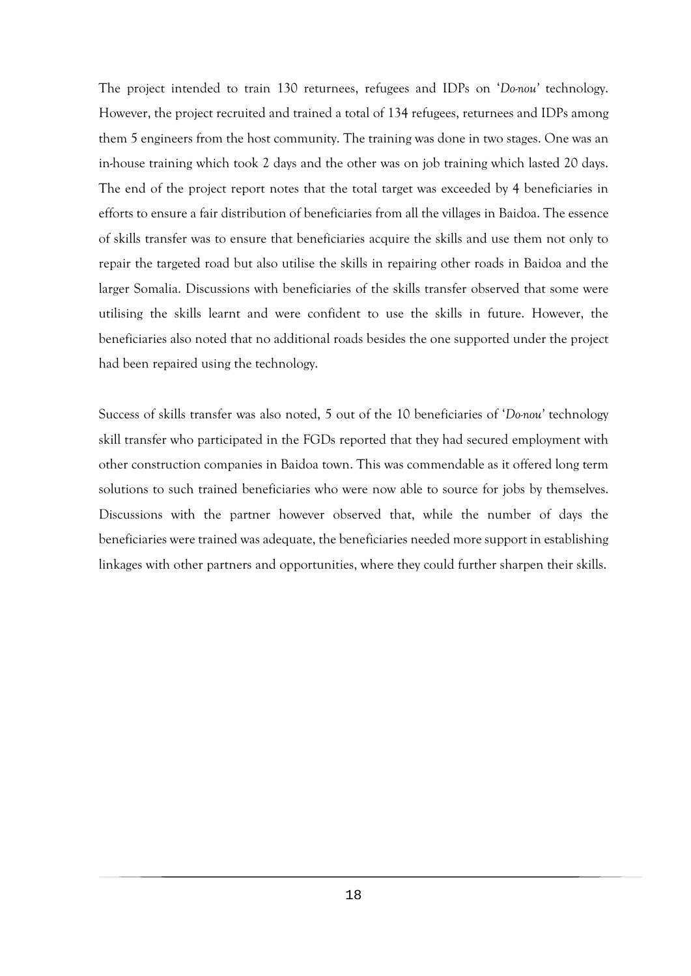The project intended to train 130 returnees, refugees and IDPs on '*Do-nou'* technology. However, the project recruited and trained a total of 134 refugees, returnees and IDPs among them 5 engineers from the host community. The training was done in two stages. One was an in-house training which took 2 days and the other was on job training which lasted 20 days. The end of the project report notes that the total target was exceeded by 4 beneficiaries in efforts to ensure a fair distribution of beneficiaries from all the villages in Baidoa. The essence of skills transfer was to ensure that beneficiaries acquire the skills and use them not only to repair the targeted road but also utilise the skills in repairing other roads in Baidoa and the larger Somalia. Discussions with beneficiaries of the skills transfer observed that some were utilising the skills learnt and were confident to use the skills in future. However, the beneficiaries also noted that no additional roads besides the one supported under the project had been repaired using the technology.

Success of skills transfer was also noted, 5 out of the 10 beneficiaries of '*Do-nou*' technology skill transfer who participated in the FGDs reported that they had secured employment with other construction companies in Baidoa town. This was commendable as it offered long term solutions to such trained beneficiaries who were now able to source for jobs by themselves. Discussions with the partner however observed that, while the number of days the beneficiaries were trained was adequate, the beneficiaries needed more support in establishing linkages with other partners and opportunities, where they could further sharpen their skills.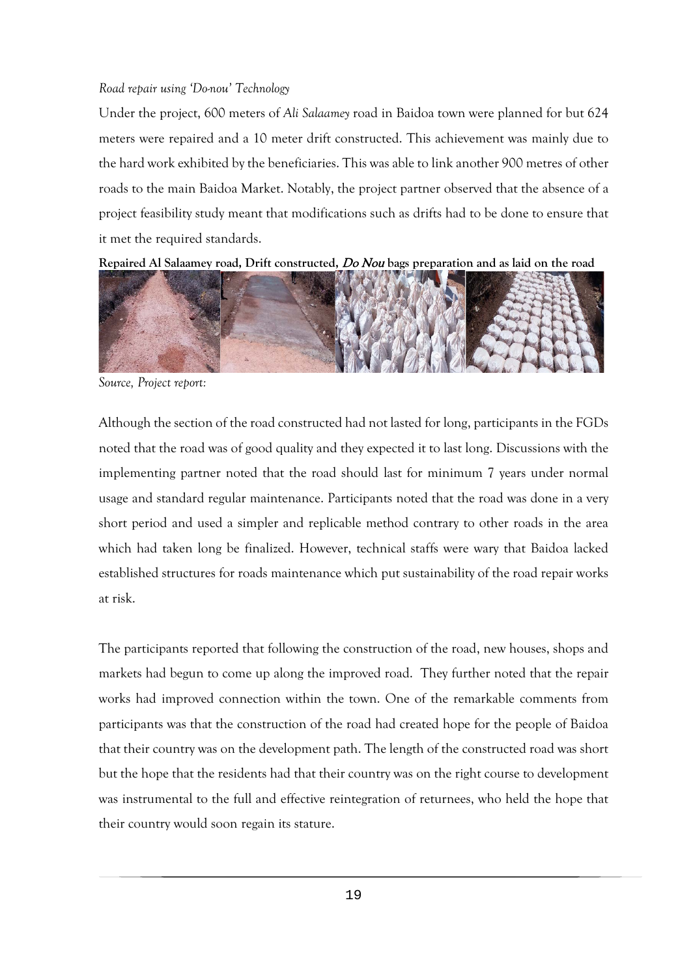#### *Road repair using 'Do-nou' Technology*

Under the project, 600 meters of *Ali Salaamey* road in Baidoa town were planned for but 624 meters were repaired and a 10 meter drift constructed. This achievement was mainly due to the hard work exhibited by the beneficiaries. This was able to link another 900 metres of other roads to the main Baidoa Market. Notably, the project partner observed that the absence of a project feasibility study meant that modifications such as drifts had to be done to ensure that it met the required standards.

**Repaired Al Salaamey road, Drift constructed,** Do Nou **bags preparation and as laid on the road**



*Source, Project report:* 

Although the section of the road constructed had not lasted for long, participants in the FGDs noted that the road was of good quality and they expected it to last long. Discussions with the implementing partner noted that the road should last for minimum 7 years under normal usage and standard regular maintenance. Participants noted that the road was done in a very short period and used a simpler and replicable method contrary to other roads in the area which had taken long be finalized. However, technical staffs were wary that Baidoa lacked established structures for roads maintenance which put sustainability of the road repair works at risk.

The participants reported that following the construction of the road, new houses, shops and markets had begun to come up along the improved road. They further noted that the repair works had improved connection within the town. One of the remarkable comments from participants was that the construction of the road had created hope for the people of Baidoa that their country was on the development path. The length of the constructed road was short but the hope that the residents had that their country was on the right course to development was instrumental to the full and effective reintegration of returnees, who held the hope that their country would soon regain its stature.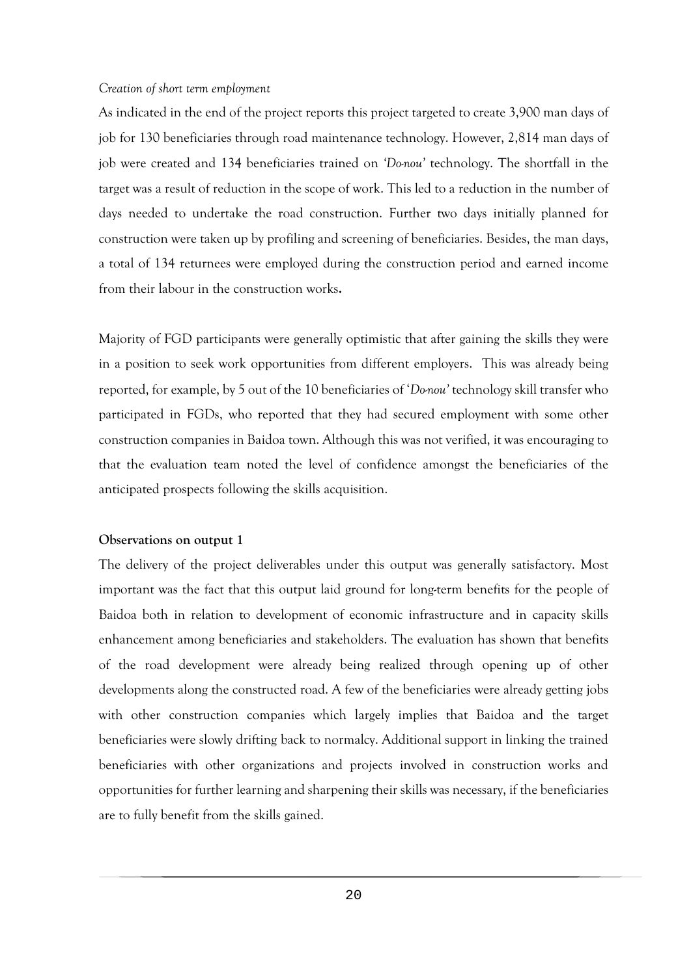#### *Creation of short term employment*

As indicated in the end of the project reports this project targeted to create 3,900 man days of job for 130 beneficiaries through road maintenance technology. However, 2,814 man days of job were created and 134 beneficiaries trained on 'Donou' technology. The shortfall in the target was a result of reduction in the scope of work. This led to a reduction in the number of days needed to undertake the road construction. Further two days initially planned for construction were taken up by profiling and screening of beneficiaries. Besides, the man days, a total of 134 returnees were employed during the construction period and earned income from their labour in the construction works**.** 

Majority of FGD participants were generally optimistic that after gaining the skills they were in a position to seek work opportunities from different employers. This was already being reported, for example, by 5 out of the 10 beneficiaries of '*Do-nou'* technology skill transfer who participated in FGDs, who reported that they had secured employment with some other construction companies in Baidoa town. Although this was not verified, it was encouraging to that the evaluation team noted the level of confidence amongst the beneficiaries of the anticipated prospects following the skills acquisition.

#### **Observations on output 1**

The delivery of the project deliverables under this output was generally satisfactory. Most important was the fact that this output laid ground for long-term benefits for the people of Baidoa both in relation to development of economic infrastructure and in capacity skills enhancement among beneficiaries and stakeholders. The evaluation has shown that benefits of the road development were already being realized through opening up of other developments along the constructed road. A few of the beneficiaries were already getting jobs with other construction companies which largely implies that Baidoa and the target beneficiaries were slowly drifting back to normalcy. Additional support in linking the trained beneficiaries with other organizations and projects involved in construction works and opportunities for further learning and sharpening their skills was necessary, if the beneficiaries are to fully benefit from the skills gained.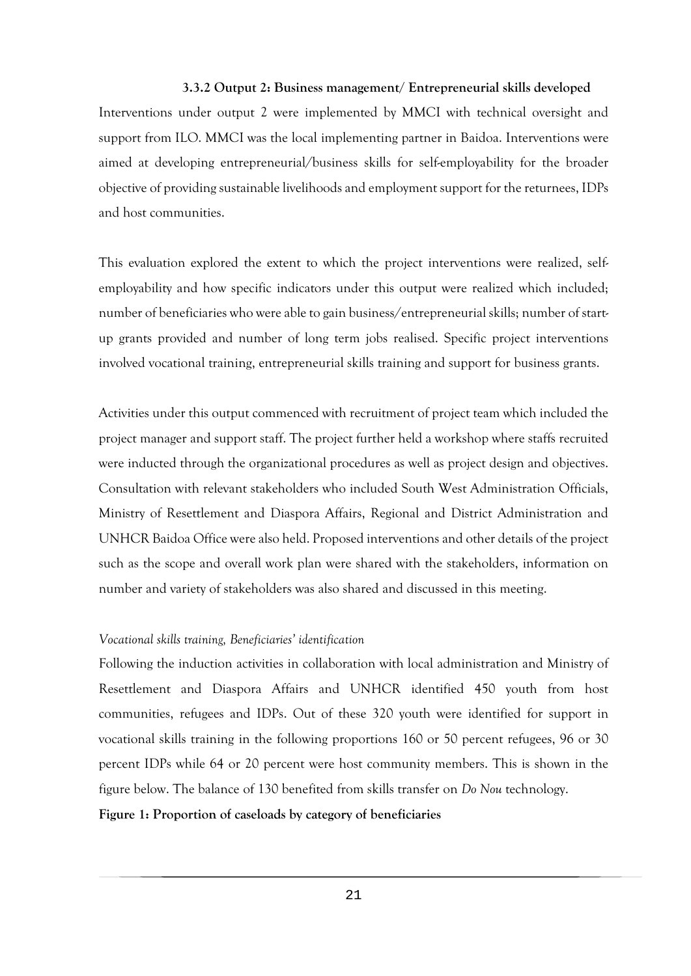#### **3.3.2 Output 2: Business management/ Entrepreneurial skills developed**

<span id="page-32-0"></span>Interventions under output 2 were implemented by MMCI with technical oversight and support from ILO. MMCI was the local implementing partner in Baidoa. Interventions were aimed at developing entrepreneurial/business skills for self-employability for the broader objective of providing sustainable livelihoods and employment support for the returnees, IDPs and host communities.

This evaluation explored the extent to which the project interventions were realized, selfemployability and how specific indicators under this output were realized which included; number of beneficiaries who were able to gain business/entrepreneurial skills; number of startup grants provided and number of long term jobs realised. Specific project interventions involved vocational training, entrepreneurial skills training and support for business grants.

Activities under this output commenced with recruitment of project team which included the project manager and support staff. The project further held a workshop where staffs recruited were inducted through the organizational procedures as well as project design and objectives. Consultation with relevant stakeholders who included South West Administration Officials, Ministry of Resettlement and Diaspora Affairs, Regional and District Administration and UNHCR Baidoa Office were also held. Proposed interventions and other details of the project such as the scope and overall work plan were shared with the stakeholders, information on number and variety of stakeholders was also shared and discussed in this meeting.

#### *Vocational skills training, Beneficiaries' identification*

Following the induction activities in collaboration with local administration and Ministry of Resettlement and Diaspora Affairs and UNHCR identified 450 youth from host communities, refugees and IDPs. Out of these 320 youth were identified for support in vocational skills training in the following proportions 160 or 50 percent refugees, 96 or 30 percent IDPs while 64 or 20 percent were host community members. This is shown in the figure below. The balance of 130 benefited from skills transfer on *Do Nou* technology.

#### <span id="page-32-1"></span>**Figure 1: Proportion of caseloads by category of beneficiaries**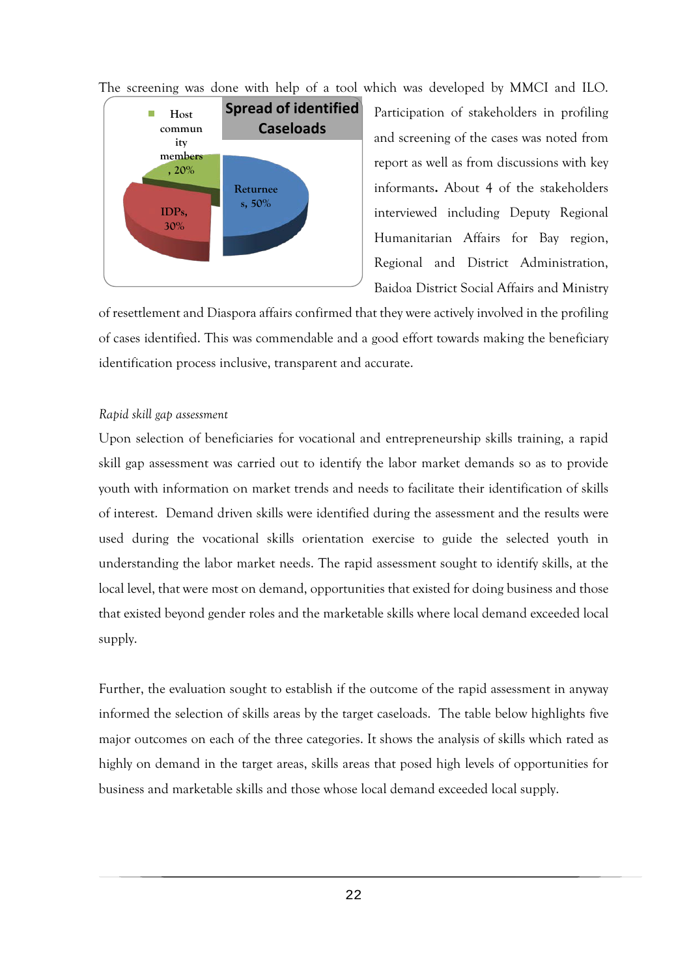The screening was done with help of a tool which was developed by MMCI and ILO.



Participation of stakeholders in profiling and screening of the cases was noted from report as well as from discussions with key informants**.** About 4 of the stakeholders interviewed including Deputy Regional Humanitarian Affairs for Bay region, Regional and District Administration, Baidoa District Social Affairs and Ministry

of resettlement and Diaspora affairs confirmed that they were actively involved in the profiling of cases identified. This was commendable and a good effort towards making the beneficiary identification process inclusive, transparent and accurate.

#### *Rapid skill gap assessment*

Upon selection of beneficiaries for vocational and entrepreneurship skills training, a rapid skill gap assessment was carried out to identify the labor market demands so as to provide youth with information on market trends and needs to facilitate their identification of skills of interest. Demand driven skills were identified during the assessment and the results were used during the vocational skills orientation exercise to guide the selected youth in understanding the labor market needs. The rapid assessment sought to identify skills, at the local level, that were most on demand, opportunities that existed for doing business and those that existed beyond gender roles and the marketable skills where local demand exceeded local supply.

Further, the evaluation sought to establish if the outcome of the rapid assessment in anyway informed the selection of skills areas by the target caseloads. The table below highlights five major outcomes on each of the three categories. It shows the analysis of skills which rated as highly on demand in the target areas, skills areas that posed high levels of opportunities for business and marketable skills and those whose local demand exceeded local supply.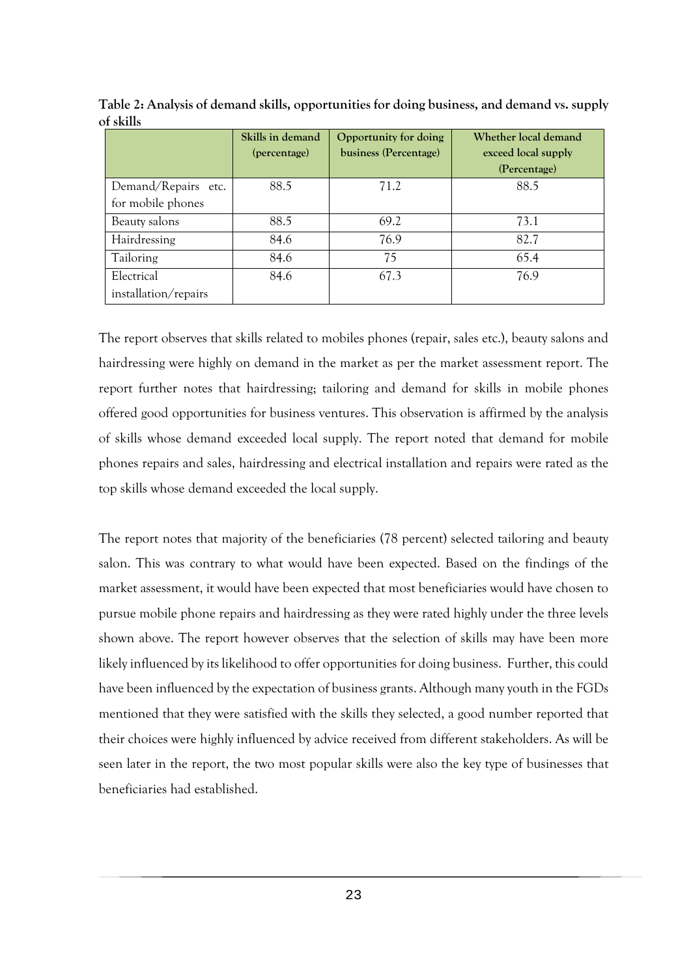|                      | Skills in demand | Opportunity for doing | Whether local demand |
|----------------------|------------------|-----------------------|----------------------|
|                      | (percentage)     | business (Percentage) | exceed local supply  |
|                      |                  |                       | (Percentage)         |
| Demand/Repairs etc.  | 88.5             | 71.2                  | 88.5                 |
| for mobile phones    |                  |                       |                      |
| Beauty salons        | 88.5             | 69.2                  | 73.1                 |
| Hairdressing         | 84.6             | 76.9                  | 82.7                 |
| Tailoring            | 84.6             | 75                    | 65.4                 |
| Electrical           | 84.6             | 67.3                  | 76.9                 |
| installation/repairs |                  |                       |                      |

<span id="page-34-0"></span>**Table 2: Analysis of demand skills, opportunities for doing business, and demand vs. supply of skills**

The report observes that skills related to mobiles phones (repair, sales etc.), beauty salons and hairdressing were highly on demand in the market as per the market assessment report. The report further notes that hairdressing; tailoring and demand for skills in mobile phones offered good opportunities for business ventures. This observation is affirmed by the analysis of skills whose demand exceeded local supply. The report noted that demand for mobile phones repairs and sales, hairdressing and electrical installation and repairs were rated as the top skills whose demand exceeded the local supply.

The report notes that majority of the beneficiaries (78 percent) selected tailoring and beauty salon. This was contrary to what would have been expected. Based on the findings of the market assessment, it would have been expected that most beneficiaries would have chosen to pursue mobile phone repairs and hairdressing as they were rated highly under the three levels shown above. The report however observes that the selection of skills may have been more likely influenced by its likelihood to offer opportunities for doing business. Further, this could have been influenced by the expectation of business grants. Although many youth in the FGDs mentioned that they were satisfied with the skills they selected, a good number reported that their choices were highly influenced by advice received from different stakeholders. As will be seen later in the report, the two most popular skills were also the key type of businesses that beneficiaries had established.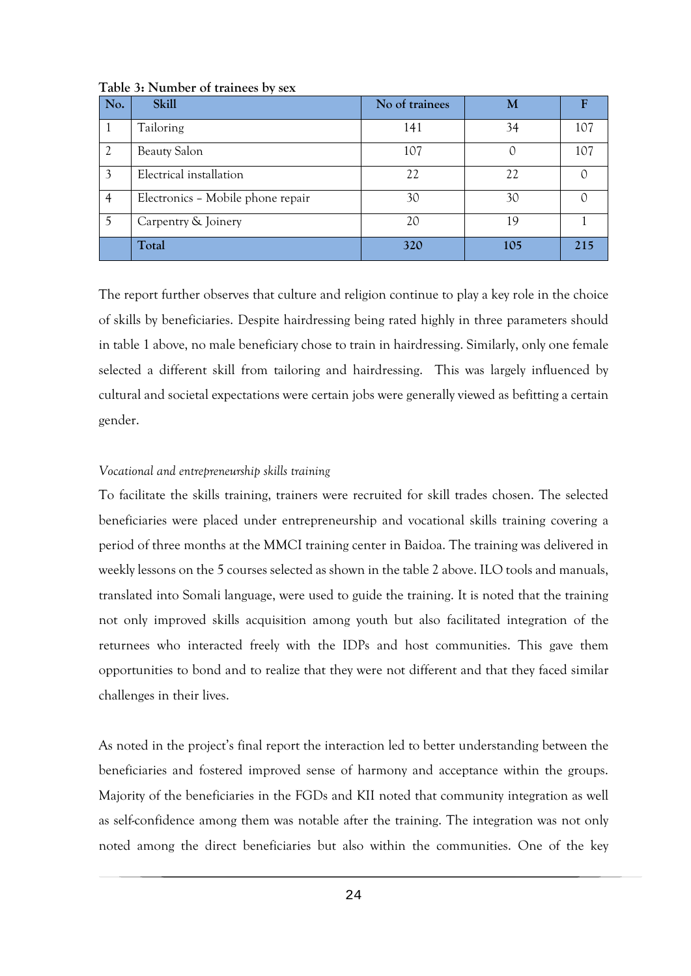| No. | <b>Skill</b>                      | No of trainees | M   |     |
|-----|-----------------------------------|----------------|-----|-----|
|     | Tailoring                         | 141            | 34  | 107 |
|     | <b>Beauty Salon</b>               | 107            | C   | 107 |
| 3   | Electrical installation           | 22             | 22  |     |
| 4   | Electronics - Mobile phone repair | 30             | 30  |     |
|     | Carpentry & Joinery               | 20             | 19  |     |
|     | Total                             | 320            | 105 | 215 |

<span id="page-35-0"></span>**Table 3: Number of trainees by sex**

The report further observes that culture and religion continue to play a key role in the choice of skills by beneficiaries. Despite hairdressing being rated highly in three parameters should in table 1 above, no male beneficiary chose to train in hairdressing. Similarly, only one female selected a different skill from tailoring and hairdressing. This was largely influenced by cultural and societal expectations were certain jobs were generally viewed as befitting a certain gender.

#### *Vocational and entrepreneurship skills training*

To facilitate the skills training, trainers were recruited for skill trades chosen. The selected beneficiaries were placed under entrepreneurship and vocational skills training covering a period of three months at the MMCI training center in Baidoa. The training was delivered in weekly lessons on the 5 courses selected as shown in the table 2 above. ILO tools and manuals, translated into Somali language, were used to guide the training. It is noted that the training not only improved skills acquisition among youth but also facilitated integration of the returnees who interacted freely with the IDPs and host communities. This gave them opportunities to bond and to realize that they were not different and that they faced similar challenges in their lives.

As noted in the project's final report the interaction led to better understanding between the beneficiaries and fostered improved sense of harmony and acceptance within the groups. Majority of the beneficiaries in the FGDs and KII noted that community integration as well as self-confidence among them was notable after the training. The integration was not only noted among the direct beneficiaries but also within the communities. One of the key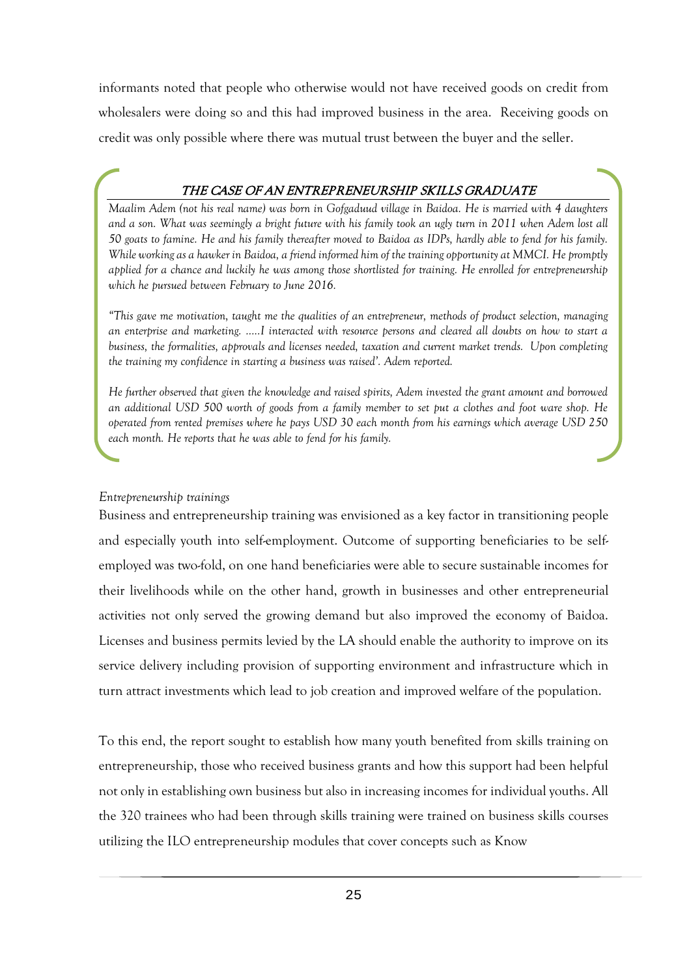informants noted that people who otherwise would not have received goods on credit from wholesalers were doing so and this had improved business in the area. Receiving goods on credit was only possible where there was mutual trust between the buyer and the seller.

## THE CASE OF AN ENTREPRENEURSHIP SKILLS GRADUATE

*Maalim Adem (not his real name) was born in Gofgaduud village in Baidoa. He is married with 4 daughters and a son. What was seemingly a bright future with his family took an ugly turn in 2011 when Adem lost all 50 goats to famine. He and his family thereafter moved to Baidoa as IDPs, hardly able to fend for his family. While working as a hawker in Baidoa, a friend informed him of the training opportunity at MMCI. He promptly applied for a chance and luckily he was among those shortlisted for training. He enrolled for entrepreneurship which he pursued between February to June 2016.* 

*"This gave me motivation, taught me the qualities of an entrepreneur, methods of product selection, managing an enterprise and marketing. …..I interacted with resource persons and cleared all doubts on how to start a business, the formalities, approvals and licenses needed, taxation and current market trends. Upon completing the training my confidence in starting a business was raised'. Adem reported.* 

*He further observed that given the knowledge and raised spirits, Adem invested the grant amount and borrowed an additional USD 500 worth of goods from a family member to set put a clothes and foot ware shop. He operated from rented premises where he pays USD 30 each month from his earnings which average USD 250 each month. He reports that he was able to fend for his family.* 

#### *Entrepreneurship trainings*

Business and entrepreneurship training was envisioned as a key factor in transitioning people and especially youth into self-employment. Outcome of supporting beneficiaries to be selfemployed was two-fold, on one hand beneficiaries were able to secure sustainable incomes for their livelihoods while on the other hand, growth in businesses and other entrepreneurial activities not only served the growing demand but also improved the economy of Baidoa. Licenses and business permits levied by the LA should enable the authority to improve on its service delivery including provision of supporting environment and infrastructure which in turn attract investments which lead to job creation and improved welfare of the population.

To this end, the report sought to establish how many youth benefited from skills training on entrepreneurship, those who received business grants and how this support had been helpful not only in establishing own business but also in increasing incomes for individual youths. All the 320 trainees who had been through skills training were trained on business skills courses utilizing the ILO entrepreneurship modules that cover concepts such as Know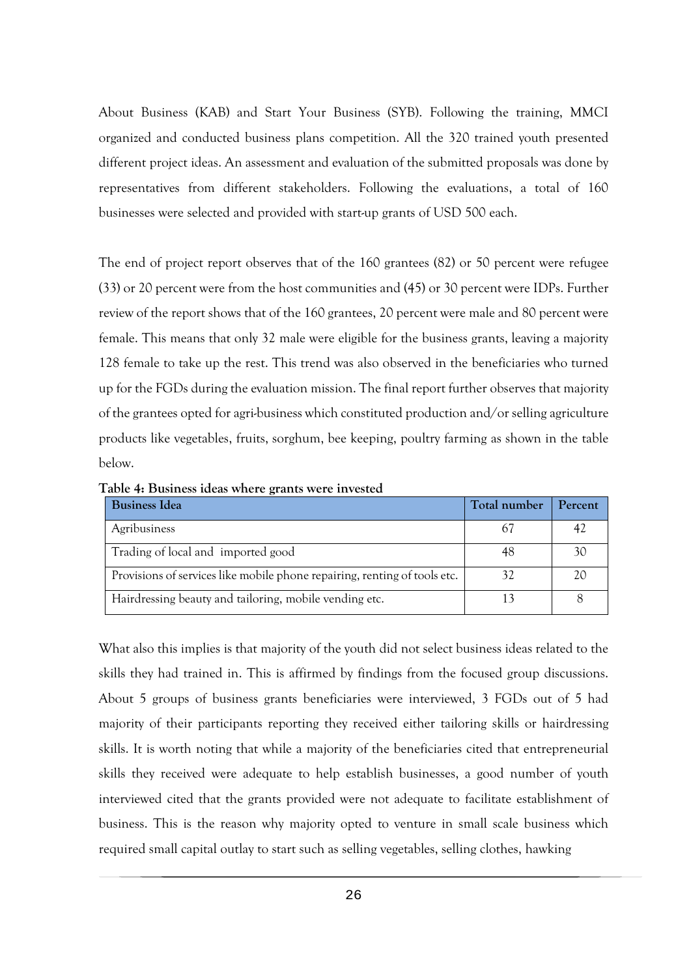About Business (KAB) and Start Your Business (SYB). Following the training, MMCI organized and conducted business plans competition. All the 320 trained youth presented different project ideas. An assessment and evaluation of the submitted proposals was done by representatives from different stakeholders. Following the evaluations, a total of 160 businesses were selected and provided with start-up grants of USD 500 each.

The end of project report observes that of the 160 grantees (82) or 50 percent were refugee (33) or 20 percent were from the host communities and (45) or 30 percent were IDPs. Further review of the report shows that of the 160 grantees, 20 percent were male and 80 percent were female. This means that only 32 male were eligible for the business grants, leaving a majority 128 female to take up the rest. This trend was also observed in the beneficiaries who turned up for the FGDs during the evaluation mission. The final report further observes that majority of the grantees opted for agri-business which constituted production and/or selling agriculture products like vegetables, fruits, sorghum, bee keeping, poultry farming as shown in the table below.

| <b>Business Idea</b>                                                      | Total number | Percent |
|---------------------------------------------------------------------------|--------------|---------|
| Agribusiness                                                              |              | 42      |
| Trading of local and imported good                                        | 48           | 30      |
| Provisions of services like mobile phone repairing, renting of tools etc. | 32           | 20      |
| Hairdressing beauty and tailoring, mobile vending etc.                    |              |         |

<span id="page-37-0"></span>**Table 4: Business ideas where grants were invested** 

What also this implies is that majority of the youth did not select business ideas related to the skills they had trained in. This is affirmed by findings from the focused group discussions. About 5 groups of business grants beneficiaries were interviewed, 3 FGDs out of 5 had majority of their participants reporting they received either tailoring skills or hairdressing skills. It is worth noting that while a majority of the beneficiaries cited that entrepreneurial skills they received were adequate to help establish businesses, a good number of youth interviewed cited that the grants provided were not adequate to facilitate establishment of business. This is the reason why majority opted to venture in small scale business which required small capital outlay to start such as selling vegetables, selling clothes, hawking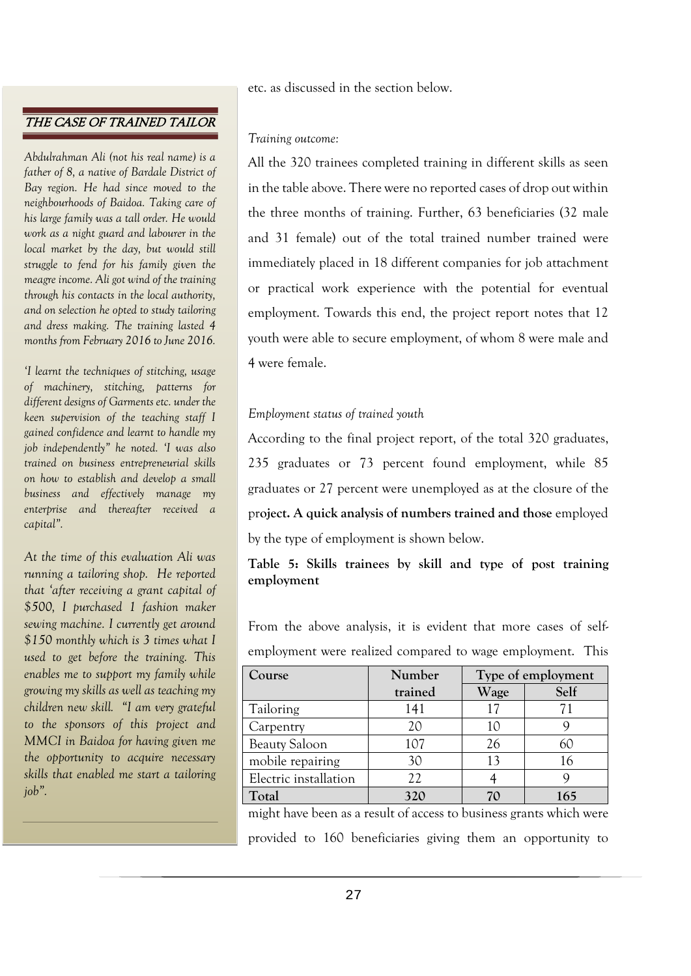## THE CASE OF TRAINED TAILOR

*Abdulrahman Ali (not his real name) is a father of 8, a native of Bardale District of Bay region. He had since moved to the neighbourhoods of Baidoa. Taking care of his large family was a tall order. He would work as a night guard and labourer in the local market by the day, but would still struggle to fend for his family given the meagre income. Ali got wind of the training through his contacts in the local authority, and on selection he opted to study tailoring and dress making. The training lasted 4 months from February 2016 to June 2016.* 

*'I learnt the techniques of stitching, usage of machinery, stitching, patterns for different designs of Garments etc. under the keen supervision of the teaching staff I gained confidence and learnt to handle my job independently" he noted. 'I was also trained on business entrepreneurial skills on how to establish and develop a small business and effectively manage my enterprise and thereafter received a capital".*

*At the time of this evaluation Ali was running a tailoring shop. He reported that 'after receiving a grant capital of \$500, I purchased 1 fashion maker sewing machine. I currently get around \$150 monthly which is 3 times what I used to get before the training. This enables me to support my family while growing my skills as well as teaching my children new skill. "I am very grateful to the sponsors of this project and MMCI in Baidoa for having given me the opportunity to acquire necessary skills that enabled me start a tailoring job".*

etc. as discussed in the section below.

#### *Training outcome:*

All the 320 trainees completed training in different skills as seen in the table above. There were no reported cases of drop out within the three months of training. Further, 63 beneficiaries (32 male and 31 female) out of the total trained number trained were immediately placed in 18 different companies for job attachment or practical work experience with the potential for eventual employment. Towards this end, the project report notes that 12 youth were able to secure employment, of whom 8 were male and 4 were female.

#### *Employment status of trained youth*

According to the final project report, of the total 320 graduates, 235 graduates or 73 percent found employment, while 85 graduates or 27 percent were unemployed as at the closure of the pr**oject. A quick analysis of numbers trained and those** employed by the type of employment is shown below.

## <span id="page-38-0"></span>**Table 5: Skills trainees by skill and type of post training employment**

From the above analysis, it is evident that more cases of selfemployment were realized compared to wage employment. This

| Course                | Number  | Type of employment |      |
|-----------------------|---------|--------------------|------|
|                       | trained | Wage               | Self |
| Tailoring             | 141     |                    |      |
| Carpentry             | 20      |                    |      |
| <b>Beauty Saloon</b>  | 107     | 26                 | 60   |
| mobile repairing      | 30      | 13                 | 16   |
| Electric installation | 22      |                    |      |
| Total                 | 320     |                    | 165  |

might have been as a result of access to business grants which were provided to 160 beneficiaries giving them an opportunity to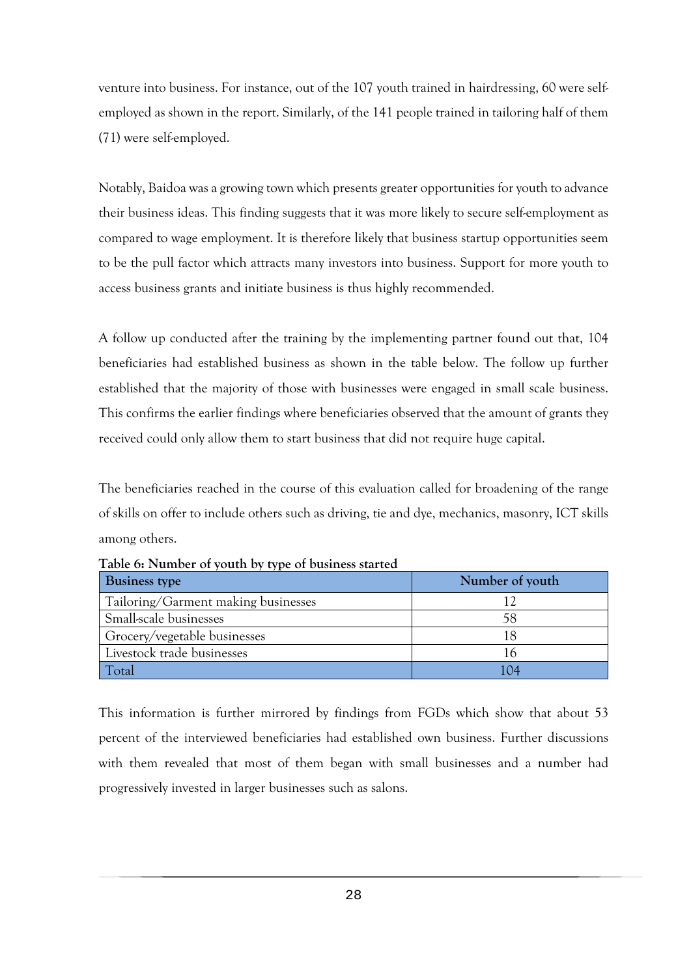venture into business. For instance, out of the 107 youth trained in hairdressing, 60 were selfemployed as shown in the report. Similarly, of the 141 people trained in tailoring half of them (71) were self-employed.

Notably, Baidoa was a growing town which presents greater opportunities for youth to advance their business ideas. This finding suggests that it was more likely to secure self-employment as compared to wage employment. It is therefore likely that business startup opportunities seem to be the pull factor which attracts many investors into business. Support for more youth to access business grants and initiate business is thus highly recommended.

A follow up conducted after the training by the implementing partner found out that, 104 beneficiaries had established business as shown in the table below. The follow up further established that the majority of those with businesses were engaged in small scale business. This confirms the earlier findings where beneficiaries observed that the amount of grants they received could only allow them to start business that did not require huge capital.

The beneficiaries reached in the course of this evaluation called for broadening of the range of skills on offer to include others such as driving, tie and dye, mechanics, masonry, ICT skills among others.

| <b>Business type</b>                | Number of youth |
|-------------------------------------|-----------------|
| Tailoring/Garment making businesses |                 |
| Small-scale businesses              | 58              |
| Grocery/vegetable businesses        |                 |
| Livestock trade businesses          | 16              |
| <b>Cotal</b>                        | I 04            |

<span id="page-39-0"></span>**Table 6: Number of youth by type of business started** 

This information is further mirrored by findings from FGDs which show that about 53 percent of the interviewed beneficiaries had established own business. Further discussions with them revealed that most of them began with small businesses and a number had progressively invested in larger businesses such as salons.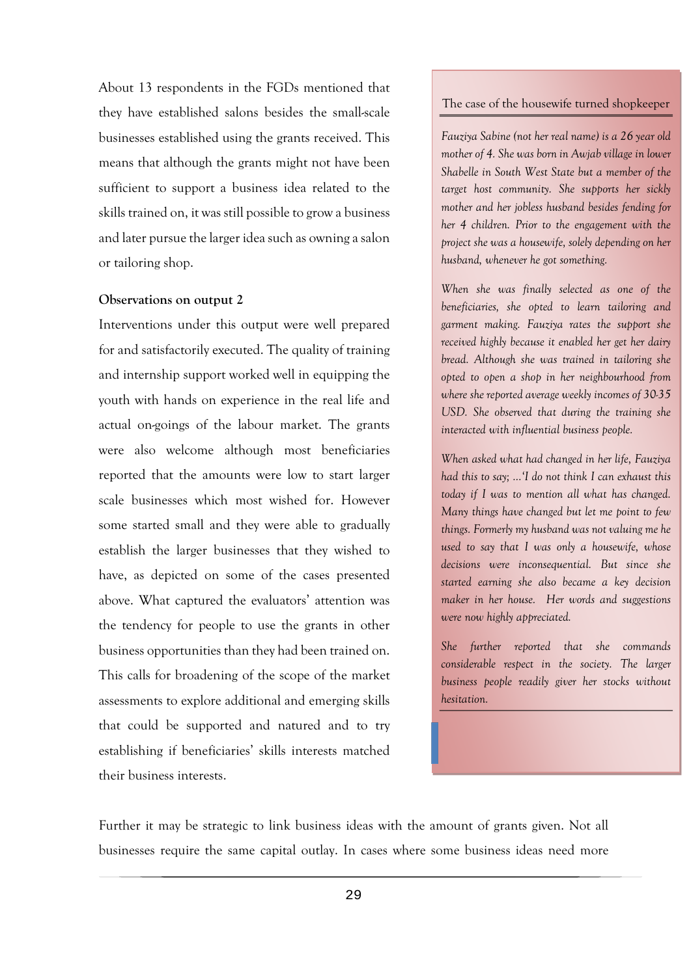About 13 respondents in the FGDs mentioned that they have established salons besides the small-scale businesses established using the grants received. This means that although the grants might not have been sufficient to support a business idea related to the skills trained on, it was still possible to grow a business and later pursue the larger idea such as owning a salon or tailoring shop.

#### **Observations on output 2**

Interventions under this output were well prepared for and satisfactorily executed. The quality of training and internship support worked well in equipping the youth with hands on experience in the real life and actual on-goings of the labour market. The grants were also welcome although most beneficiaries reported that the amounts were low to start larger scale businesses which most wished for. However some started small and they were able to gradually establish the larger businesses that they wished to have, as depicted on some of the cases presented above. What captured the evaluators' attention was the tendency for people to use the grants in other business opportunities than they had been trained on. This calls for broadening of the scope of the market assessments to explore additional and emerging skills that could be supported and natured and to try establishing if beneficiaries' skills interests matched their business interests.

#### The case of the housewife turned shopkeeper

*Fauziya Sabine (not her real name) is a 26 year old mother of 4. She was born in Awjab village in lower Shabelle in South West State but a member of the target host community. She supports her sickly mother and her jobless husband besides fending for her 4 children. Prior to the engagement with the project she was a housewife, solely depending on her husband, whenever he got something.* 

*When she was finally selected as one of the beneficiaries, she opted to learn tailoring and garment making. Fauziya rates the support she received highly because it enabled her get her dairy bread. Although she was trained in tailoring she opted to open a shop in her neighbourhood from where she reported average weekly incomes of 30-35 USD. She observed that during the training she interacted with influential business people.* 

*When asked what had changed in her life, Fauziya had this to say; …'I do not think I can exhaust this today if I was to mention all what has changed. Many things have changed but let me point to few things. Formerly my husband was not valuing me he used to say that I was only a housewife, whose decisions were inconsequential. But since she started earning she also became a key decision maker in her house. Her words and suggestions were now highly appreciated.* 

*She further reported that she commands considerable respect in the society. The larger business people readily giver her stocks without hesitation.* 

Further it may be strategic to link business ideas with the amount of grants given. Not all businesses require the same capital outlay. In cases where some business ideas need more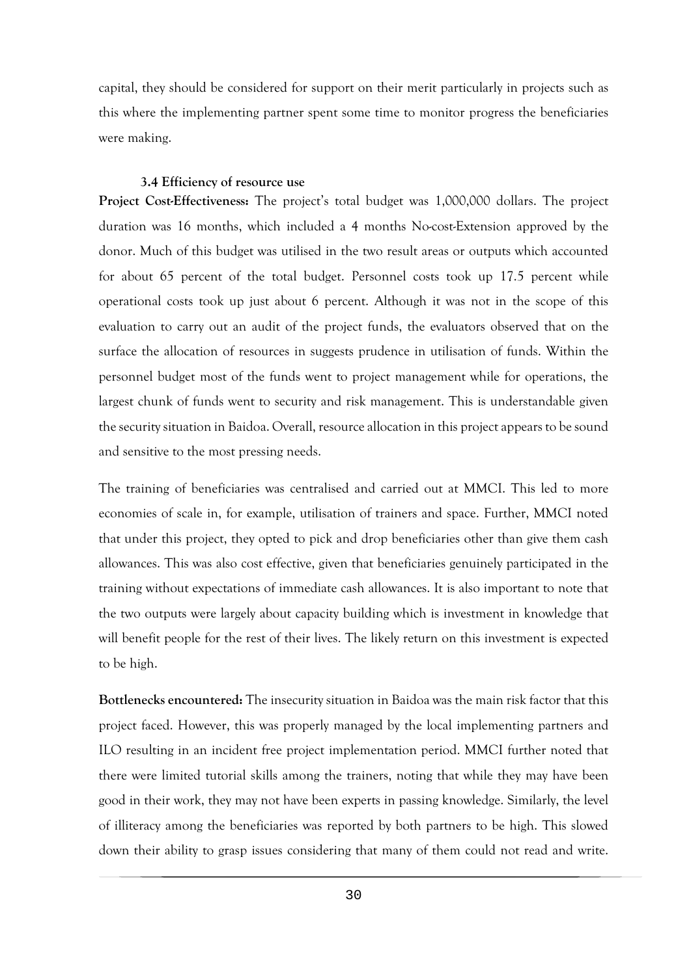capital, they should be considered for support on their merit particularly in projects such as this where the implementing partner spent some time to monitor progress the beneficiaries were making.

#### **3.4 Efficiency of resource use**

<span id="page-41-0"></span>**Project Cost-Effectiveness:** The project's total budget was 1,000,000 dollars. The project duration was 16 months, which included a 4 months No-cost-Extension approved by the donor. Much of this budget was utilised in the two result areas or outputs which accounted for about 65 percent of the total budget. Personnel costs took up 17.5 percent while operational costs took up just about 6 percent. Although it was not in the scope of this evaluation to carry out an audit of the project funds, the evaluators observed that on the surface the allocation of resources in suggests prudence in utilisation of funds. Within the personnel budget most of the funds went to project management while for operations, the largest chunk of funds went to security and risk management. This is understandable given the security situation in Baidoa. Overall, resource allocation in this project appears to be sound and sensitive to the most pressing needs.

The training of beneficiaries was centralised and carried out at MMCI. This led to more economies of scale in, for example, utilisation of trainers and space. Further, MMCI noted that under this project, they opted to pick and drop beneficiaries other than give them cash allowances. This was also cost effective, given that beneficiaries genuinely participated in the training without expectations of immediate cash allowances. It is also important to note that the two outputs were largely about capacity building which is investment in knowledge that will benefit people for the rest of their lives. The likely return on this investment is expected to be high.

**Bottlenecks encountered:** The insecurity situation in Baidoa was the main risk factor that this project faced. However, this was properly managed by the local implementing partners and ILO resulting in an incident free project implementation period. MMCI further noted that there were limited tutorial skills among the trainers, noting that while they may have been good in their work, they may not have been experts in passing knowledge. Similarly, the level of illiteracy among the beneficiaries was reported by both partners to be high. This slowed down their ability to grasp issues considering that many of them could not read and write.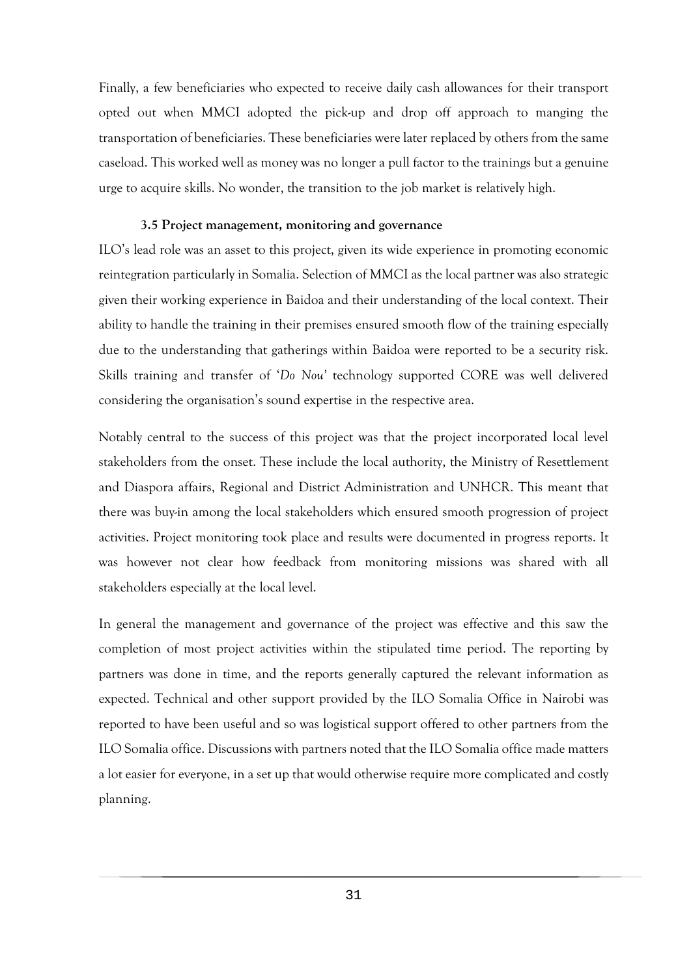Finally, a few beneficiaries who expected to receive daily cash allowances for their transport opted out when MMCI adopted the pick-up and drop off approach to manging the transportation of beneficiaries. These beneficiaries were later replaced by others from the same caseload. This worked well as money was no longer a pull factor to the trainings but a genuine urge to acquire skills. No wonder, the transition to the job market is relatively high.

#### **3.5 Project management, monitoring and governance**

<span id="page-42-0"></span>ILO's lead role was an asset to this project, given its wide experience in promoting economic reintegration particularly in Somalia. Selection of MMCI as the local partner was also strategic given their working experience in Baidoa and their understanding of the local context. Their ability to handle the training in their premises ensured smooth flow of the training especially due to the understanding that gatherings within Baidoa were reported to be a security risk. Skills training and transfer of '*Do Nou'* technology supported CORE was well delivered considering the organisation's sound expertise in the respective area.

Notably central to the success of this project was that the project incorporated local level stakeholders from the onset. These include the local authority, the Ministry of Resettlement and Diaspora affairs, Regional and District Administration and UNHCR. This meant that there was buy-in among the local stakeholders which ensured smooth progression of project activities. Project monitoring took place and results were documented in progress reports. It was however not clear how feedback from monitoring missions was shared with all stakeholders especially at the local level.

In general the management and governance of the project was effective and this saw the completion of most project activities within the stipulated time period. The reporting by partners was done in time, and the reports generally captured the relevant information as expected. Technical and other support provided by the ILO Somalia Office in Nairobi was reported to have been useful and so was logistical support offered to other partners from the ILO Somalia office. Discussions with partners noted that the ILO Somalia office made matters a lot easier for everyone, in a set up that would otherwise require more complicated and costly planning.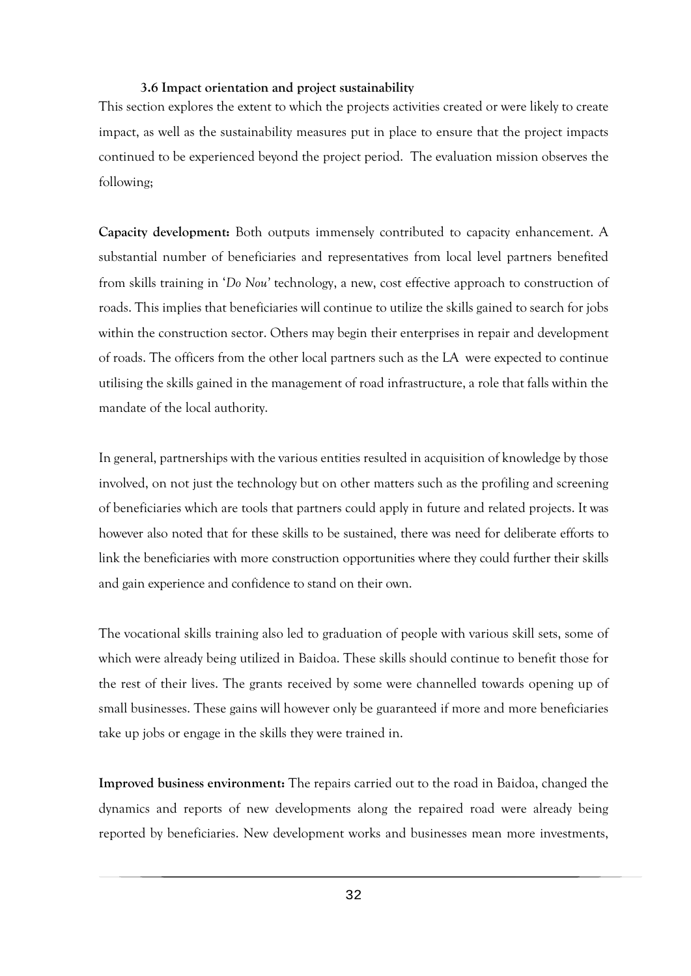#### **3.6 Impact orientation and project sustainability**

<span id="page-43-0"></span>This section explores the extent to which the projects activities created or were likely to create impact, as well as the sustainability measures put in place to ensure that the project impacts continued to be experienced beyond the project period. The evaluation mission observes the following;

**Capacity development:** Both outputs immensely contributed to capacity enhancement. A substantial number of beneficiaries and representatives from local level partners benefited from skills training in '*Do Nou'* technology, a new, cost effective approach to construction of roads. This implies that beneficiaries will continue to utilize the skills gained to search for jobs within the construction sector. Others may begin their enterprises in repair and development of roads. The officers from the other local partners such as the LA were expected to continue utilising the skills gained in the management of road infrastructure, a role that falls within the mandate of the local authority.

In general, partnerships with the various entities resulted in acquisition of knowledge by those involved, on not just the technology but on other matters such as the profiling and screening of beneficiaries which are tools that partners could apply in future and related projects. It was however also noted that for these skills to be sustained, there was need for deliberate efforts to link the beneficiaries with more construction opportunities where they could further their skills and gain experience and confidence to stand on their own.

The vocational skills training also led to graduation of people with various skill sets, some of which were already being utilized in Baidoa. These skills should continue to benefit those for the rest of their lives. The grants received by some were channelled towards opening up of small businesses. These gains will however only be guaranteed if more and more beneficiaries take up jobs or engage in the skills they were trained in.

**Improved business environment:** The repairs carried out to the road in Baidoa, changed the dynamics and reports of new developments along the repaired road were already being reported by beneficiaries. New development works and businesses mean more investments,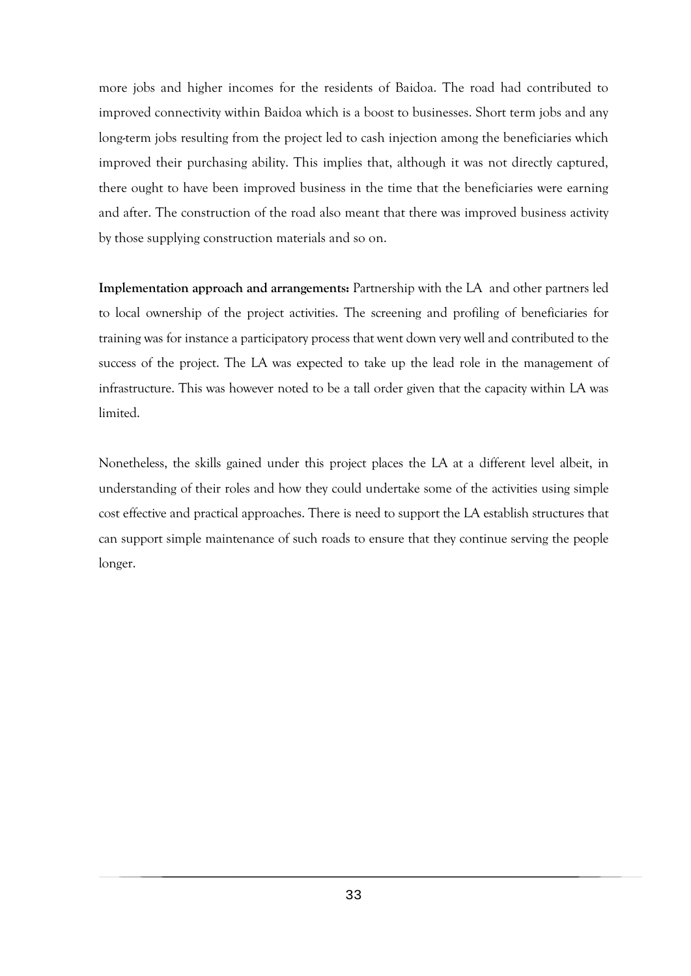more jobs and higher incomes for the residents of Baidoa. The road had contributed to improved connectivity within Baidoa which is a boost to businesses. Short term jobs and any long-term jobs resulting from the project led to cash injection among the beneficiaries which improved their purchasing ability. This implies that, although it was not directly captured, there ought to have been improved business in the time that the beneficiaries were earning and after. The construction of the road also meant that there was improved business activity by those supplying construction materials and so on.

**Implementation approach and arrangements:** Partnership with the LA and other partners led to local ownership of the project activities. The screening and profiling of beneficiaries for training was for instance a participatory process that went down very well and contributed to the success of the project. The LA was expected to take up the lead role in the management of infrastructure. This was however noted to be a tall order given that the capacity within LA was limited.

Nonetheless, the skills gained under this project places the LA at a different level albeit, in understanding of their roles and how they could undertake some of the activities using simple cost effective and practical approaches. There is need to support the LA establish structures that can support simple maintenance of such roads to ensure that they continue serving the people longer.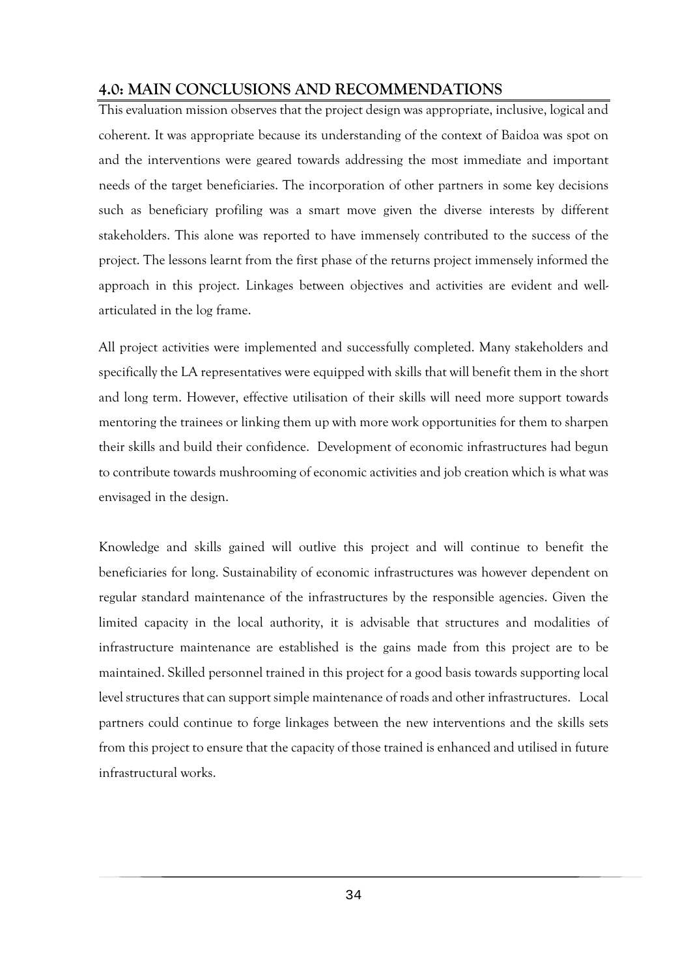# <span id="page-45-0"></span>**4.0: MAIN CONCLUSIONS AND RECOMMENDATIONS**

This evaluation mission observes that the project design was appropriate, inclusive, logical and coherent. It was appropriate because its understanding of the context of Baidoa was spot on and the interventions were geared towards addressing the most immediate and important needs of the target beneficiaries. The incorporation of other partners in some key decisions such as beneficiary profiling was a smart move given the diverse interests by different stakeholders. This alone was reported to have immensely contributed to the success of the project. The lessons learnt from the first phase of the returns project immensely informed the approach in this project. Linkages between objectives and activities are evident and wellarticulated in the log frame.

All project activities were implemented and successfully completed. Many stakeholders and specifically the LA representatives were equipped with skills that will benefit them in the short and long term. However, effective utilisation of their skills will need more support towards mentoring the trainees or linking them up with more work opportunities for them to sharpen their skills and build their confidence. Development of economic infrastructures had begun to contribute towards mushrooming of economic activities and job creation which is what was envisaged in the design.

Knowledge and skills gained will outlive this project and will continue to benefit the beneficiaries for long. Sustainability of economic infrastructures was however dependent on regular standard maintenance of the infrastructures by the responsible agencies. Given the limited capacity in the local authority, it is advisable that structures and modalities of infrastructure maintenance are established is the gains made from this project are to be maintained. Skilled personnel trained in this project for a good basis towards supporting local level structures that can support simple maintenance of roads and other infrastructures. Local partners could continue to forge linkages between the new interventions and the skills sets from this project to ensure that the capacity of those trained is enhanced and utilised in future infrastructural works.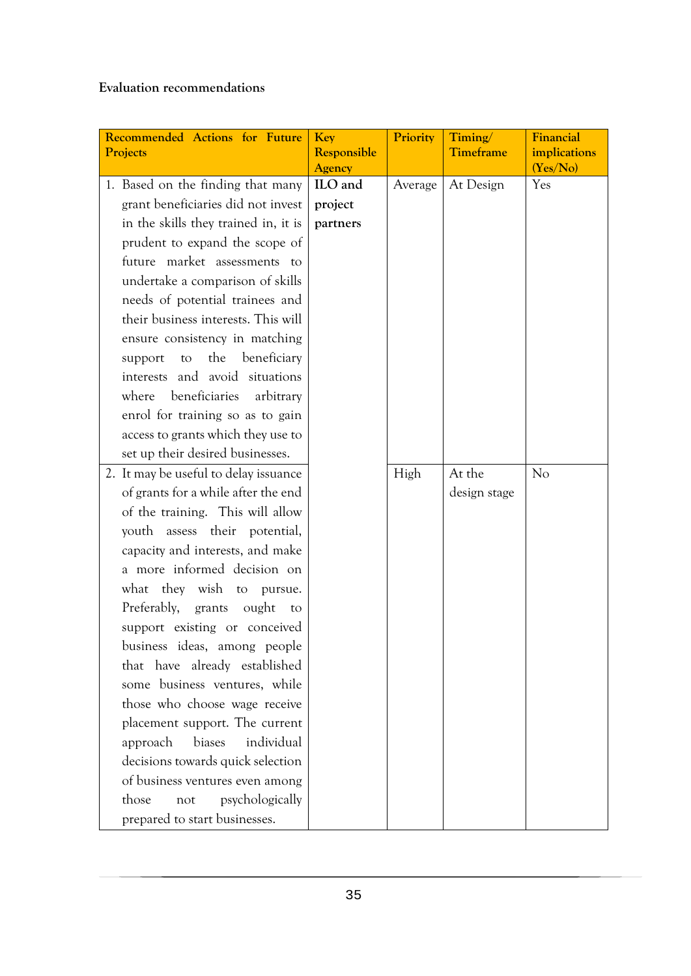**Evaluation recommendations** 

<span id="page-46-0"></span>

| Recommended Actions for Future<br>Projects | Key<br>Responsible<br><b>Agency</b> | Priority | Timing/<br>Timeframe | Financial<br>implications<br>(Yes/No) |
|--------------------------------------------|-------------------------------------|----------|----------------------|---------------------------------------|
| 1. Based on the finding that many          | ILO and                             | Average  | At Design            | Yes                                   |
| grant beneficiaries did not invest         | project                             |          |                      |                                       |
| in the skills they trained in, it is       | partners                            |          |                      |                                       |
| prudent to expand the scope of             |                                     |          |                      |                                       |
| future market assessments to               |                                     |          |                      |                                       |
| undertake a comparison of skills           |                                     |          |                      |                                       |
| needs of potential trainees and            |                                     |          |                      |                                       |
| their business interests. This will        |                                     |          |                      |                                       |
| ensure consistency in matching             |                                     |          |                      |                                       |
| the<br>beneficiary<br>to<br>support        |                                     |          |                      |                                       |
| interests and avoid situations             |                                     |          |                      |                                       |
| beneficiaries<br>where<br>arbitrary        |                                     |          |                      |                                       |
| enrol for training so as to gain           |                                     |          |                      |                                       |
| access to grants which they use to         |                                     |          |                      |                                       |
| set up their desired businesses.           |                                     |          |                      |                                       |
| 2. It may be useful to delay issuance      |                                     | High     | At the               | No                                    |
| of grants for a while after the end        |                                     |          | design stage         |                                       |
| of the training. This will allow           |                                     |          |                      |                                       |
| youth assess their potential,              |                                     |          |                      |                                       |
| capacity and interests, and make           |                                     |          |                      |                                       |
| a more informed decision on                |                                     |          |                      |                                       |
| what they wish to pursue.                  |                                     |          |                      |                                       |
| Preferably, grants ought<br>to             |                                     |          |                      |                                       |
| support existing or conceived              |                                     |          |                      |                                       |
| business ideas, among people               |                                     |          |                      |                                       |
| that have already established              |                                     |          |                      |                                       |
| some business ventures, while              |                                     |          |                      |                                       |
| those who choose wage receive              |                                     |          |                      |                                       |
| placement support. The current             |                                     |          |                      |                                       |
| individual<br>approach<br>biases           |                                     |          |                      |                                       |
| decisions towards quick selection          |                                     |          |                      |                                       |
| of business ventures even among            |                                     |          |                      |                                       |
| those<br>psychologically<br>not            |                                     |          |                      |                                       |
| prepared to start businesses.              |                                     |          |                      |                                       |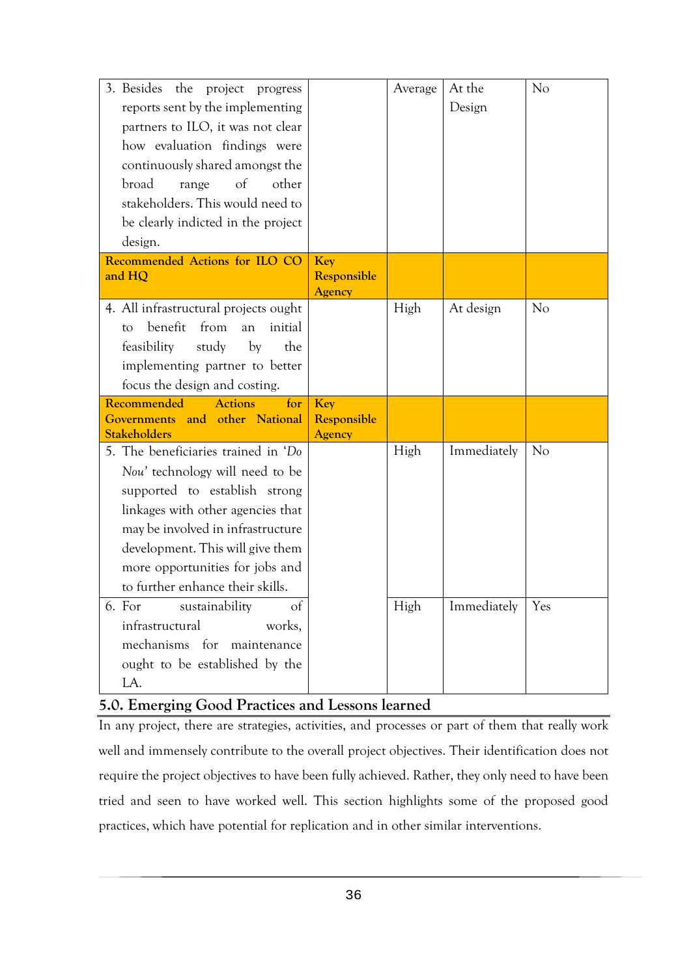| 3. Besides the project progress<br>reports sent by the implementing<br>partners to ILO, it was not clear<br>how evaluation findings were<br>continuously shared amongst the<br>of<br>broad<br>other<br>range<br>stakeholders. This would need to<br>be clearly indicted in the project<br>design. |                                     | Average | At the<br>Design | No             |
|---------------------------------------------------------------------------------------------------------------------------------------------------------------------------------------------------------------------------------------------------------------------------------------------------|-------------------------------------|---------|------------------|----------------|
| Recommended Actions for ILO CO<br>and HQ                                                                                                                                                                                                                                                          | Key<br>Responsible<br><b>Agency</b> |         |                  |                |
| 4. All infrastructural projects ought<br>benefit<br>from<br>initial<br>an<br>to<br>feasibility<br>study<br>by<br>the<br>implementing partner to better<br>focus the design and costing.                                                                                                           |                                     | High    | At design        | No             |
| Recommended<br><b>Actions</b><br>for<br>and<br>other National<br><b>Governments</b><br><b>Stakeholders</b>                                                                                                                                                                                        | Key<br>Responsible<br>Agency        |         |                  |                |
| 5. The beneficiaries trained in 'Do<br>Nou' technology will need to be<br>supported to establish strong<br>linkages with other agencies that<br>may be involved in infrastructure<br>development. This will give them<br>more opportunities for jobs and<br>to further enhance their skills.      |                                     | High    | Immediately      | N <sub>o</sub> |
| 6. For<br>sustainability<br>of<br>infrastructural<br>works,<br>mechanisms for maintenance<br>ought to be established by the<br>LA.                                                                                                                                                                |                                     | High    | Immediately      | Yes            |

# **5.0. Emerging Good Practices and Lessons learned**

In any project, there are strategies, activities, and processes or part of them that really work well and immensely contribute to the overall project objectives. Their identification does not require the project objectives to have been fully achieved. Rather, they only need to have been tried and seen to have worked well. This section highlights some of the proposed good practices, which have potential for replication and in other similar interventions.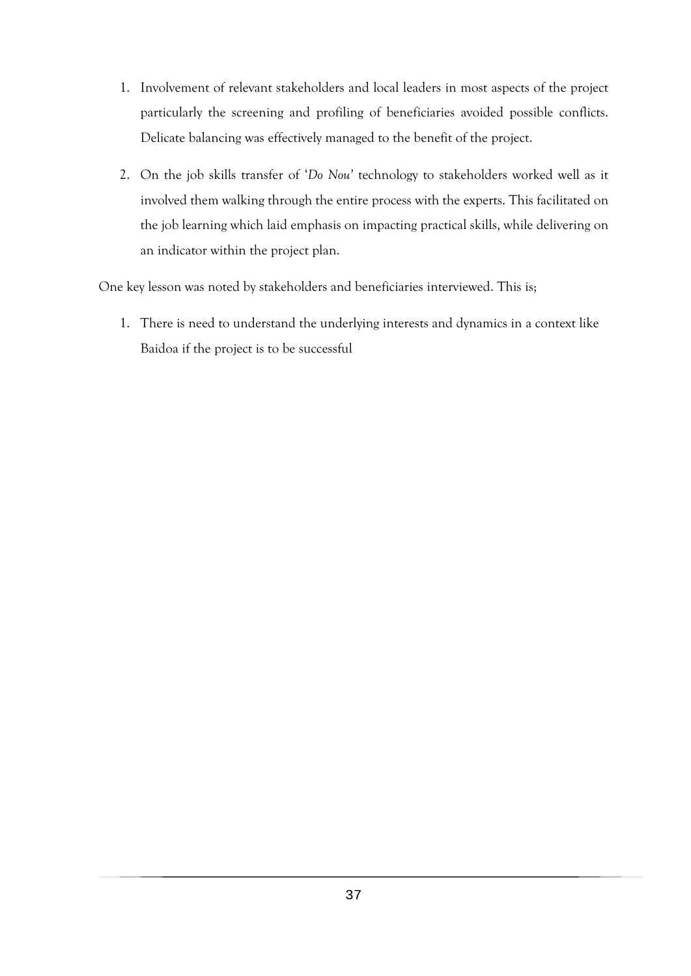- 1. Involvement of relevant stakeholders and local leaders in most aspects of the project particularly the screening and profiling of beneficiaries avoided possible conflicts. Delicate balancing was effectively managed to the benefit of the project.
- 2. On the job skills transfer of '*Do Nou'* technology to stakeholders worked well as it involved them walking through the entire process with the experts. This facilitated on the job learning which laid emphasis on impacting practical skills, while delivering on an indicator within the project plan.

One key lesson was noted by stakeholders and beneficiaries interviewed. This is;

1. There is need to understand the underlying interests and dynamics in a context like Baidoa if the project is to be successful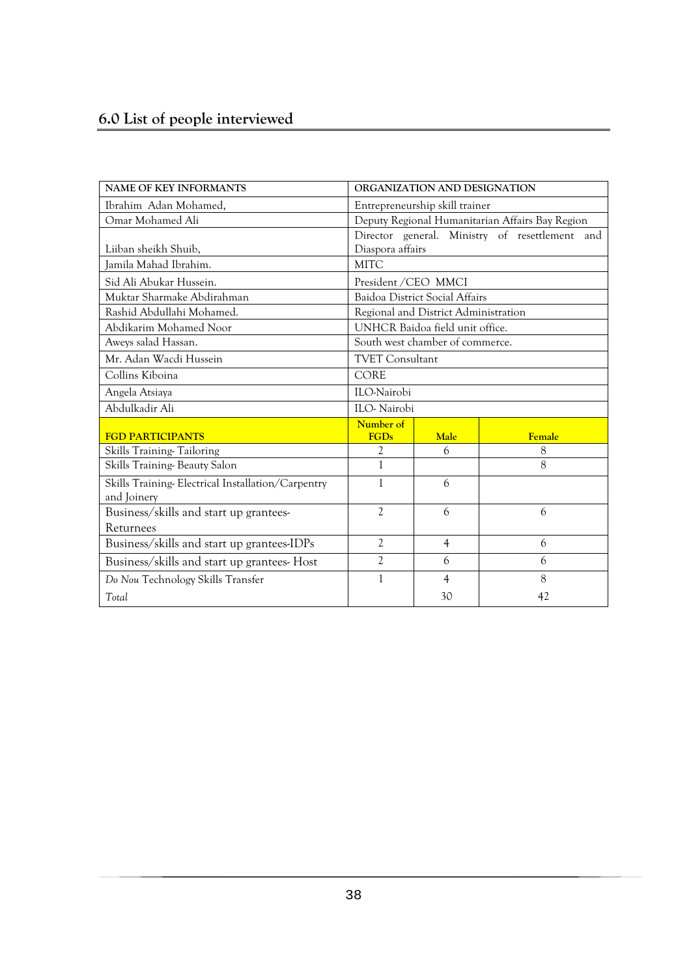<span id="page-49-0"></span>

| NAME OF KEY INFORMANTS                                           | ORGANIZATION AND DESIGNATION                    |                                      |                                                |  |
|------------------------------------------------------------------|-------------------------------------------------|--------------------------------------|------------------------------------------------|--|
| Ibrahim Adan Mohamed,                                            | Entrepreneurship skill trainer                  |                                      |                                                |  |
| Omar Mohamed Ali                                                 | Deputy Regional Humanitarian Affairs Bay Region |                                      |                                                |  |
|                                                                  |                                                 |                                      | Director general. Ministry of resettlement and |  |
| Liiban sheikh Shuib,                                             | Diaspora affairs                                |                                      |                                                |  |
| Jamila Mahad Ibrahim.                                            | <b>MITC</b>                                     |                                      |                                                |  |
| Sid Ali Abukar Hussein.                                          | President / CEO MMCI                            |                                      |                                                |  |
| Muktar Sharmake Abdirahman                                       |                                                 | Baidoa District Social Affairs       |                                                |  |
| Rashid Abdullahi Mohamed.                                        |                                                 | Regional and District Administration |                                                |  |
| Abdikarim Mohamed Noor                                           |                                                 | UNHCR Baidoa field unit office.      |                                                |  |
| Aweys salad Hassan.                                              |                                                 | South west chamber of commerce.      |                                                |  |
| Mr. Adan Wacdi Hussein                                           | <b>TVET Consultant</b>                          |                                      |                                                |  |
| Collins Kiboina                                                  | CORE                                            |                                      |                                                |  |
| Angela Atsiaya                                                   | ILO-Nairobi                                     |                                      |                                                |  |
| Abdulkadir Ali                                                   | ILO-Nairobi                                     |                                      |                                                |  |
|                                                                  | Number of                                       |                                      |                                                |  |
| <b>FGD PARTICIPANTS</b>                                          | <b>FGDs</b>                                     | Male                                 | Female                                         |  |
| Skills Training-Tailoring                                        | 2                                               | 6                                    | 8                                              |  |
| Skills Training-Beauty Salon                                     | $\mathbf{1}$                                    |                                      | 8                                              |  |
| Skills Training-Electrical Installation/Carpentry<br>and Joinery | 1                                               | 6                                    |                                                |  |
| Business/skills and start up grantees-                           | $\overline{c}$<br>6<br>6                        |                                      |                                                |  |
| Returnees                                                        |                                                 |                                      |                                                |  |
| Business/skills and start up grantees-IDPs                       | $\overline{2}$                                  | $\overline{4}$                       | 6                                              |  |
| Business/skills and start up grantees-Host                       | $\overline{2}$                                  | 6                                    | 6                                              |  |
| Do Nou Technology Skills Transfer                                | 1                                               | $\overline{4}$                       | 8                                              |  |
| Total                                                            |                                                 | 30                                   | 42                                             |  |